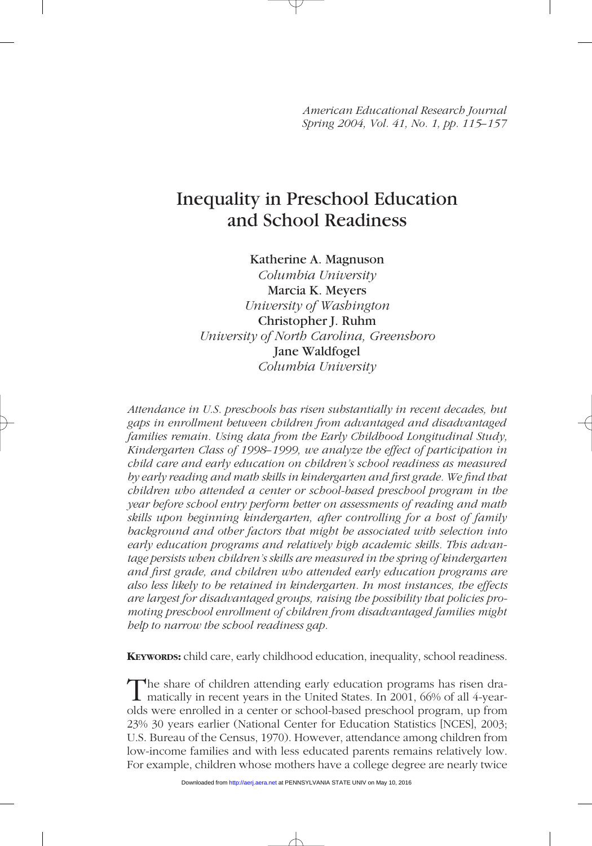Katherine A. Magnuson *Columbia University* Marcia K. Meyers *University of Washington* Christopher J. Ruhm *University of North Carolina, Greensboro* Jane Waldfogel *Columbia University*

*Attendance in U.S. preschools has risen substantially in recent decades, but gaps in enrollment between children from advantaged and disadvantaged families remain. Using data from the Early Childhood Longitudinal Study, Kindergarten Class of 1998–1999, we analyze the effect of participation in child care and early education on children's school readiness as measured by early reading and math skills in kindergarten and first grade. We find that children who attended a center or school-based preschool program in the year before school entry perform better on assessments of reading and math skills upon beginning kindergarten, after controlling for a host of family background and other factors that might be associated with selection into early education programs and relatively high academic skills. This advantage persists when children's skills are measured in the spring of kindergarten and first grade, and children who attended early education programs are also less likely to be retained in kindergarten. In most instances, the effects are largest for disadvantaged groups, raising the possibility that policies promoting preschool enrollment of children from disadvantaged families might help to narrow the school readiness gap.*

**KEYWORDS:** child care, early childhood education, inequality, school readiness.

The share of children attending early education programs has risen dra-<br>matically in recent years in the United States. In 2001, 66% of all 4-yearolds were enrolled in a center or school-based preschool program, up from 23% 30 years earlier (National Center for Education Statistics [NCES], 2003; U.S. Bureau of the Census, 1970). However, attendance among children from low-income families and with less educated parents remains relatively low. For example, children whose mothers have a college degree are nearly twice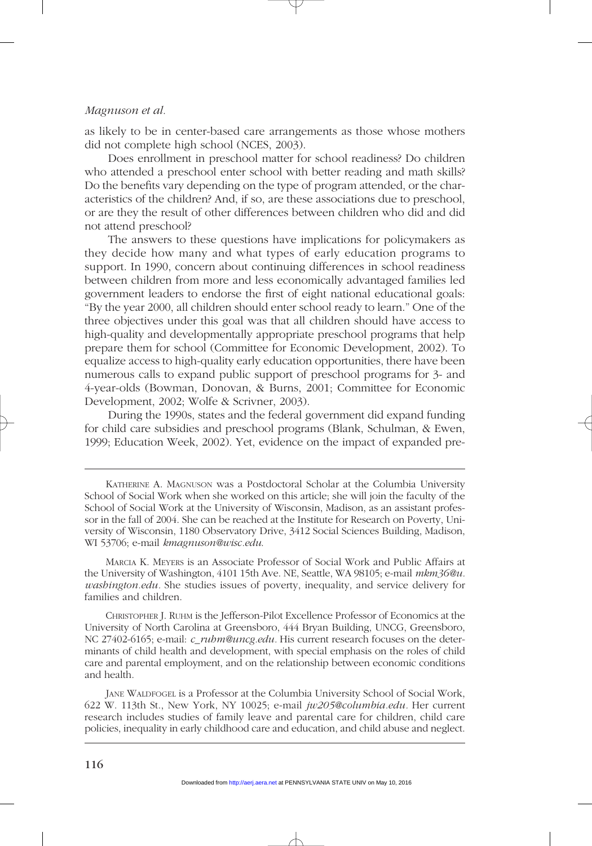as likely to be in center-based care arrangements as those whose mothers did not complete high school (NCES, 2003).

Does enrollment in preschool matter for school readiness? Do children who attended a preschool enter school with better reading and math skills? Do the benefits vary depending on the type of program attended, or the characteristics of the children? And, if so, are these associations due to preschool, or are they the result of other differences between children who did and did not attend preschool?

The answers to these questions have implications for policymakers as they decide how many and what types of early education programs to support. In 1990, concern about continuing differences in school readiness between children from more and less economically advantaged families led government leaders to endorse the first of eight national educational goals: "By the year 2000, all children should enter school ready to learn." One of the three objectives under this goal was that all children should have access to high-quality and developmentally appropriate preschool programs that help prepare them for school (Committee for Economic Development, 2002). To equalize access to high-quality early education opportunities, there have been numerous calls to expand public support of preschool programs for 3- and 4-year-olds (Bowman, Donovan, & Burns, 2001; Committee for Economic Development, 2002; Wolfe & Scrivner, 2003).

During the 1990s, states and the federal government did expand funding for child care subsidies and preschool programs (Blank, Schulman, & Ewen, 1999; Education Week, 2002). Yet, evidence on the impact of expanded pre-

KATHERINE A. MAGNUSON was a Postdoctoral Scholar at the Columbia University School of Social Work when she worked on this article; she will join the faculty of the School of Social Work at the University of Wisconsin, Madison, as an assistant professor in the fall of 2004. She can be reached at the Institute for Research on Poverty, University of Wisconsin, 1180 Observatory Drive, 3412 Social Sciences Building, Madison, WI 53706; e-mail *kmagnuson@wisc.edu*.

MARCIA K. MEYERS is an Associate Professor of Social Work and Public Affairs at the University of Washington, 4101 15th Ave. NE, Seattle, WA 98105; e-mail *mkm36@u. washington.edu.* She studies issues of poverty, inequality, and service delivery for families and children.

CHRISTOPHER J. RUHM is the Jefferson-Pilot Excellence Professor of Economics at the University of North Carolina at Greensboro, 444 Bryan Building, UNCG, Greensboro, NC 27402-6165; e-mail: *c\_ruhm@uncg.edu.* His current research focuses on the determinants of child health and development, with special emphasis on the roles of child care and parental employment, and on the relationship between economic conditions and health.

JANE WALDFOGEL is a Professor at the Columbia University School of Social Work, 622 W. 113th St., New York, NY 10025; e-mail *jw205@columbia.edu.* Her current research includes studies of family leave and parental care for children, child care policies, inequality in early childhood care and education, and child abuse and neglect.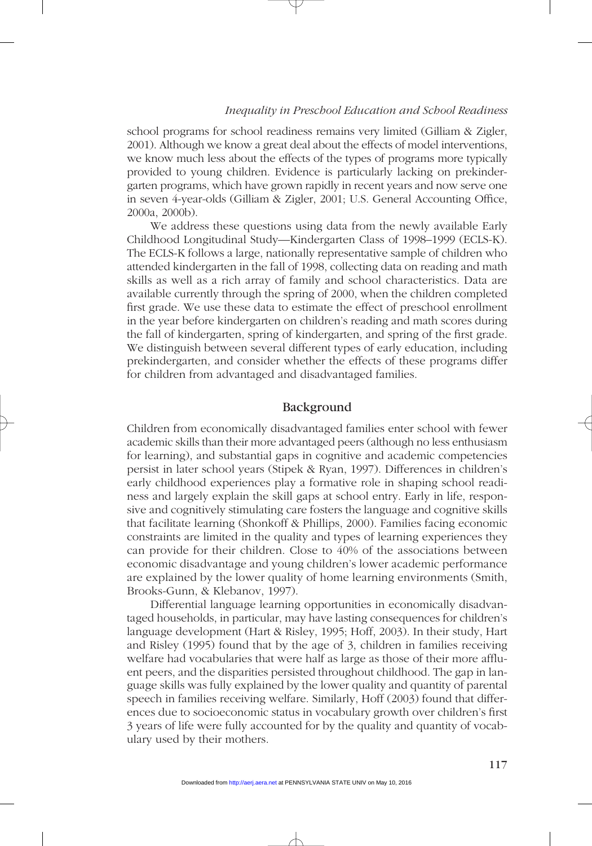school programs for school readiness remains very limited (Gilliam & Zigler, 2001). Although we know a great deal about the effects of model interventions, we know much less about the effects of the types of programs more typically provided to young children. Evidence is particularly lacking on prekindergarten programs, which have grown rapidly in recent years and now serve one in seven 4-year-olds (Gilliam & Zigler, 2001; U.S. General Accounting Office, 2000a, 2000b).

We address these questions using data from the newly available Early Childhood Longitudinal Study—Kindergarten Class of 1998–1999 (ECLS-K). The ECLS-K follows a large, nationally representative sample of children who attended kindergarten in the fall of 1998, collecting data on reading and math skills as well as a rich array of family and school characteristics. Data are available currently through the spring of 2000, when the children completed first grade. We use these data to estimate the effect of preschool enrollment in the year before kindergarten on children's reading and math scores during the fall of kindergarten, spring of kindergarten, and spring of the first grade. We distinguish between several different types of early education, including prekindergarten, and consider whether the effects of these programs differ for children from advantaged and disadvantaged families.

### Background

Children from economically disadvantaged families enter school with fewer academic skills than their more advantaged peers (although no less enthusiasm for learning), and substantial gaps in cognitive and academic competencies persist in later school years (Stipek & Ryan, 1997). Differences in children's early childhood experiences play a formative role in shaping school readiness and largely explain the skill gaps at school entry. Early in life, responsive and cognitively stimulating care fosters the language and cognitive skills that facilitate learning (Shonkoff & Phillips, 2000). Families facing economic constraints are limited in the quality and types of learning experiences they can provide for their children. Close to 40% of the associations between economic disadvantage and young children's lower academic performance are explained by the lower quality of home learning environments (Smith, Brooks-Gunn, & Klebanov, 1997).

Differential language learning opportunities in economically disadvantaged households, in particular, may have lasting consequences for children's language development (Hart & Risley, 1995; Hoff, 2003). In their study, Hart and Risley (1995) found that by the age of 3, children in families receiving welfare had vocabularies that were half as large as those of their more affluent peers, and the disparities persisted throughout childhood. The gap in language skills was fully explained by the lower quality and quantity of parental speech in families receiving welfare. Similarly, Hoff (2003) found that differences due to socioeconomic status in vocabulary growth over children's first 3 years of life were fully accounted for by the quality and quantity of vocabulary used by their mothers.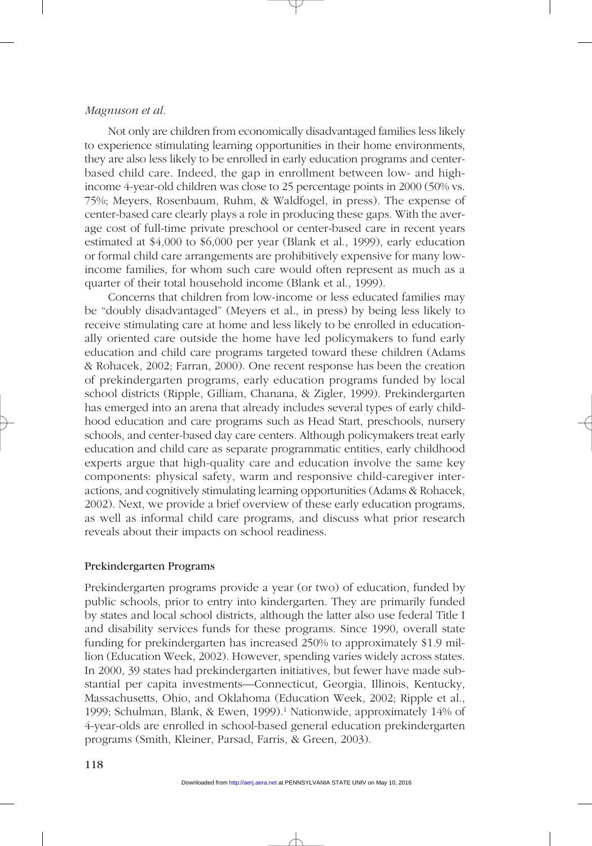Not only are children from economically disadvantaged families less likely to experience stimulating learning opportunities in their home environments, they are also less likely to be enrolled in early education programs and centerbased child care. Indeed, the gap in enrollment between low- and highincome 4-year-old children was close to 25 percentage points in 2000 (50% vs. 75%; Meyers, Rosenbaum, Ruhm, & Waldfogel, in press). The expense of center-based care clearly plays a role in producing these gaps. With the average cost of full-time private preschool or center-based care in recent years estimated at \$4,000 to \$6,000 per year (Blank et al., 1999), early education or formal child care arrangements are prohibitively expensive for many lowincome families, for whom such care would often represent as much as a quarter of their total household income (Blank et al., 1999).

Concerns that children from low-income or less educated families may be "doubly disadvantaged" (Meyers et al., in press) by being less likely to receive stimulating care at home and less likely to be enrolled in educationally oriented care outside the home have led policymakers to fund early education and child care programs targeted toward these children (Adams & Rohacek, 2002; Farran, 2000). One recent response has been the creation of prekindergarten programs, early education programs funded by local school districts (Ripple, Gilliam, Chanana, & Zigler, 1999). Prekindergarten has emerged into an arena that already includes several types of early childhood education and care programs such as Head Start, preschools, nursery schools, and center-based day care centers. Although policymakers treat early education and child care as separate programmatic entities, early childhood experts argue that high-quality care and education involve the same key components: physical safety, warm and responsive child-caregiver interactions, and cognitively stimulating learning opportunities (Adams & Rohacek, 2002). Next, we provide a brief overview of these early education programs, as well as informal child care programs, and discuss what prior research reveals about their impacts on school readiness.

### Prekindergarten Programs

Prekindergarten programs provide a year (or two) of education, funded by public schools, prior to entry into kindergarten. They are primarily funded by states and local school districts, although the latter also use federal Title I and disability services funds for these programs. Since 1990, overall state funding for prekindergarten has increased 250% to approximately \$1.9 million (Education Week, 2002). However, spending varies widely across states. In 2000, 39 states had prekindergarten initiatives, but fewer have made substantial per capita investments—Connecticut, Georgia, Illinois, Kentucky, Massachusetts, Ohio, and Oklahoma (Education Week, 2002; Ripple et al., 1999; Schulman, Blank, & Ewen, 1999).1 Nationwide, approximately 14% of 4-year-olds are enrolled in school-based general education prekindergarten programs (Smith, Kleiner, Parsad, Farris, & Green, 2003).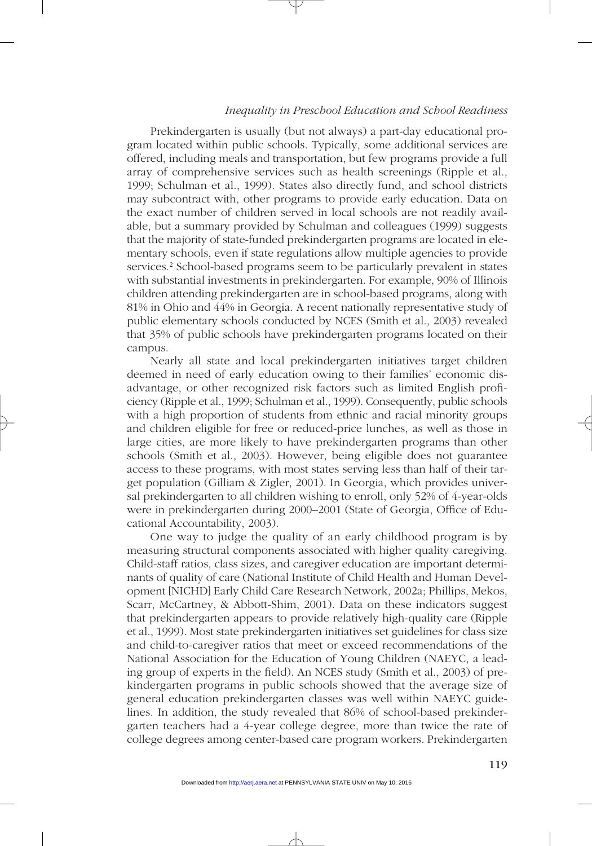Prekindergarten is usually (but not always) a part-day educational program located within public schools. Typically, some additional services are offered, including meals and transportation, but few programs provide a full array of comprehensive services such as health screenings (Ripple et al., 1999; Schulman et al., 1999). States also directly fund, and school districts may subcontract with, other programs to provide early education. Data on the exact number of children served in local schools are not readily available, but a summary provided by Schulman and colleagues (1999) suggests that the majority of state-funded prekindergarten programs are located in elementary schools, even if state regulations allow multiple agencies to provide services.<sup>2</sup> School-based programs seem to be particularly prevalent in states with substantial investments in prekindergarten. For example, 90% of Illinois children attending prekindergarten are in school-based programs, along with 81% in Ohio and 44% in Georgia. A recent nationally representative study of public elementary schools conducted by NCES (Smith et al., 2003) revealed that 35% of public schools have prekindergarten programs located on their campus.

Nearly all state and local prekindergarten initiatives target children deemed in need of early education owing to their families' economic disadvantage, or other recognized risk factors such as limited English proficiency (Ripple et al., 1999; Schulman et al., 1999). Consequently, public schools with a high proportion of students from ethnic and racial minority groups and children eligible for free or reduced-price lunches, as well as those in large cities, are more likely to have prekindergarten programs than other schools (Smith et al., 2003). However, being eligible does not guarantee access to these programs, with most states serving less than half of their target population (Gilliam & Zigler, 2001). In Georgia, which provides universal prekindergarten to all children wishing to enroll, only 52% of 4-year-olds were in prekindergarten during 2000–2001 (State of Georgia, Office of Educational Accountability, 2003).

One way to judge the quality of an early childhood program is by measuring structural components associated with higher quality caregiving. Child-staff ratios, class sizes, and caregiver education are important determinants of quality of care (National Institute of Child Health and Human Development [NICHD] Early Child Care Research Network, 2002a; Phillips, Mekos, Scarr, McCartney, & Abbott-Shim, 2001). Data on these indicators suggest that prekindergarten appears to provide relatively high-quality care (Ripple et al., 1999). Most state prekindergarten initiatives set guidelines for class size and child-to-caregiver ratios that meet or exceed recommendations of the National Association for the Education of Young Children (NAEYC, a leading group of experts in the field). An NCES study (Smith et al., 2003) of prekindergarten programs in public schools showed that the average size of general education prekindergarten classes was well within NAEYC guidelines. In addition, the study revealed that 86% of school-based prekindergarten teachers had a 4-year college degree, more than twice the rate of college degrees among center-based care program workers. Prekindergarten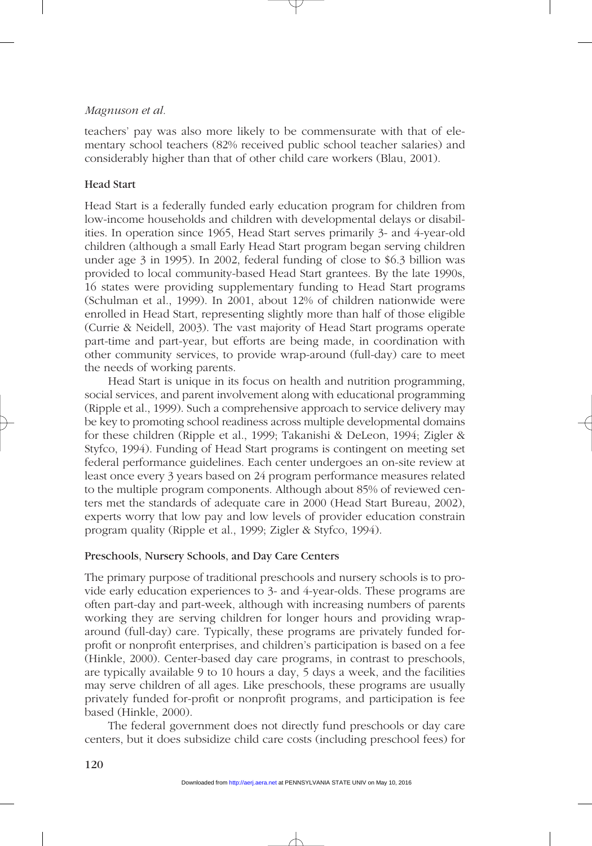teachers' pay was also more likely to be commensurate with that of elementary school teachers (82% received public school teacher salaries) and considerably higher than that of other child care workers (Blau, 2001).

### Head Start

Head Start is a federally funded early education program for children from low-income households and children with developmental delays or disabilities. In operation since 1965, Head Start serves primarily 3- and 4-year-old children (although a small Early Head Start program began serving children under age 3 in 1995). In 2002, federal funding of close to \$6.3 billion was provided to local community-based Head Start grantees. By the late 1990s, 16 states were providing supplementary funding to Head Start programs (Schulman et al., 1999). In 2001, about 12% of children nationwide were enrolled in Head Start, representing slightly more than half of those eligible (Currie & Neidell, 2003). The vast majority of Head Start programs operate part-time and part-year, but efforts are being made, in coordination with other community services, to provide wrap-around (full-day) care to meet the needs of working parents.

Head Start is unique in its focus on health and nutrition programming, social services, and parent involvement along with educational programming (Ripple et al., 1999). Such a comprehensive approach to service delivery may be key to promoting school readiness across multiple developmental domains for these children (Ripple et al., 1999; Takanishi & DeLeon, 1994; Zigler & Styfco, 1994). Funding of Head Start programs is contingent on meeting set federal performance guidelines. Each center undergoes an on-site review at least once every 3 years based on 24 program performance measures related to the multiple program components. Although about 85% of reviewed centers met the standards of adequate care in 2000 (Head Start Bureau, 2002), experts worry that low pay and low levels of provider education constrain program quality (Ripple et al., 1999; Zigler & Styfco, 1994).

### Preschools, Nursery Schools, and Day Care Centers

The primary purpose of traditional preschools and nursery schools is to provide early education experiences to 3- and 4-year-olds. These programs are often part-day and part-week, although with increasing numbers of parents working they are serving children for longer hours and providing wraparound (full-day) care. Typically, these programs are privately funded forprofit or nonprofit enterprises, and children's participation is based on a fee (Hinkle, 2000). Center-based day care programs, in contrast to preschools, are typically available 9 to 10 hours a day, 5 days a week, and the facilities may serve children of all ages. Like preschools, these programs are usually privately funded for-profit or nonprofit programs, and participation is fee based (Hinkle, 2000).

The federal government does not directly fund preschools or day care centers, but it does subsidize child care costs (including preschool fees) for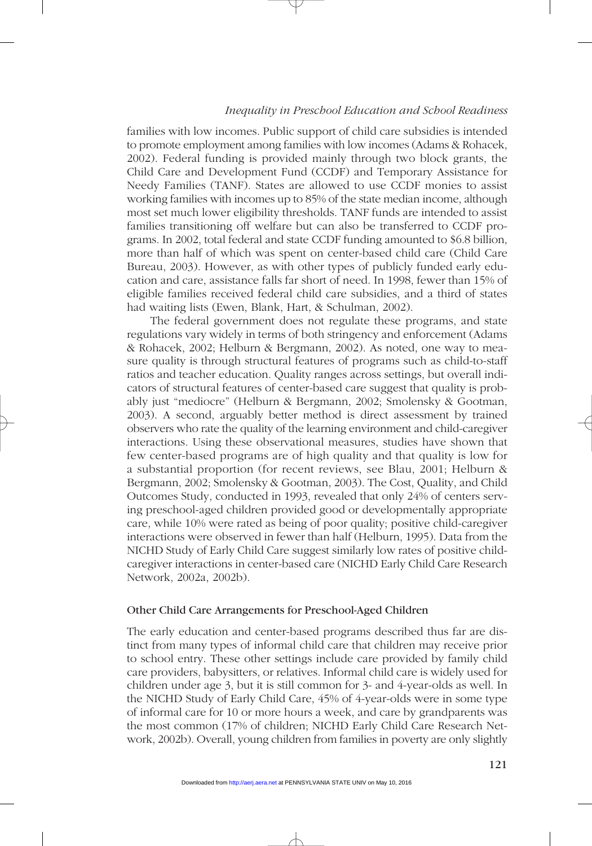families with low incomes. Public support of child care subsidies is intended to promote employment among families with low incomes (Adams & Rohacek, 2002). Federal funding is provided mainly through two block grants, the Child Care and Development Fund (CCDF) and Temporary Assistance for Needy Families (TANF). States are allowed to use CCDF monies to assist working families with incomes up to 85% of the state median income, although most set much lower eligibility thresholds. TANF funds are intended to assist families transitioning off welfare but can also be transferred to CCDF programs. In 2002, total federal and state CCDF funding amounted to \$6.8 billion, more than half of which was spent on center-based child care (Child Care Bureau, 2003). However, as with other types of publicly funded early education and care, assistance falls far short of need. In 1998, fewer than 15% of eligible families received federal child care subsidies, and a third of states had waiting lists (Ewen, Blank, Hart, & Schulman, 2002).

The federal government does not regulate these programs, and state regulations vary widely in terms of both stringency and enforcement (Adams & Rohacek, 2002; Helburn & Bergmann, 2002). As noted, one way to measure quality is through structural features of programs such as child-to-staff ratios and teacher education. Quality ranges across settings, but overall indicators of structural features of center-based care suggest that quality is probably just "mediocre" (Helburn & Bergmann, 2002; Smolensky & Gootman, 2003). A second, arguably better method is direct assessment by trained observers who rate the quality of the learning environment and child-caregiver interactions. Using these observational measures, studies have shown that few center-based programs are of high quality and that quality is low for a substantial proportion (for recent reviews, see Blau, 2001; Helburn & Bergmann, 2002; Smolensky & Gootman, 2003). The Cost, Quality, and Child Outcomes Study, conducted in 1993, revealed that only 24% of centers serving preschool-aged children provided good or developmentally appropriate care, while 10% were rated as being of poor quality; positive child-caregiver interactions were observed in fewer than half (Helburn, 1995). Data from the NICHD Study of Early Child Care suggest similarly low rates of positive childcaregiver interactions in center-based care (NICHD Early Child Care Research Network, 2002a, 2002b).

#### Other Child Care Arrangements for Preschool-Aged Children

The early education and center-based programs described thus far are distinct from many types of informal child care that children may receive prior to school entry. These other settings include care provided by family child care providers, babysitters, or relatives. Informal child care is widely used for children under age 3, but it is still common for 3- and 4-year-olds as well. In the NICHD Study of Early Child Care, 45% of 4-year-olds were in some type of informal care for 10 or more hours a week, and care by grandparents was the most common (17% of children; NICHD Early Child Care Research Network, 2002b). Overall, young children from families in poverty are only slightly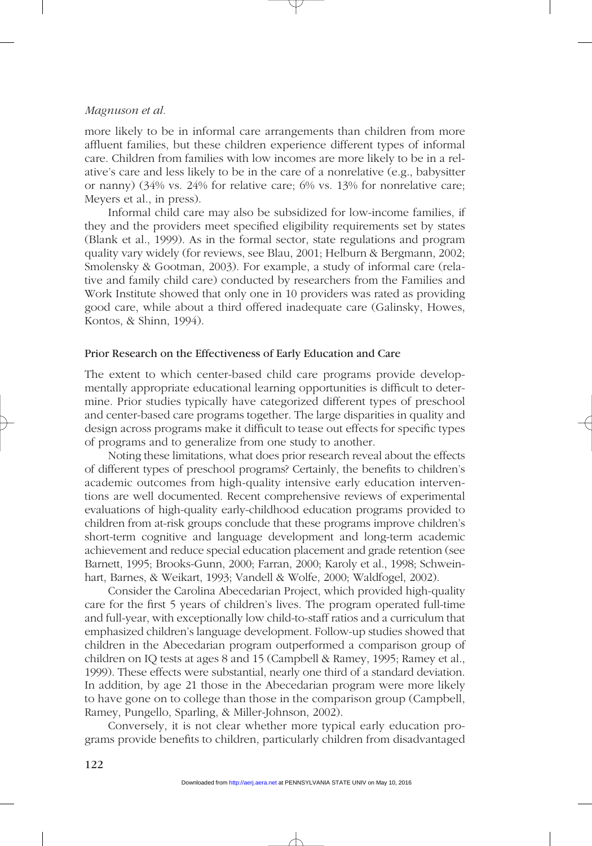more likely to be in informal care arrangements than children from more affluent families, but these children experience different types of informal care. Children from families with low incomes are more likely to be in a relative's care and less likely to be in the care of a nonrelative (e.g., babysitter or nanny) (34% vs. 24% for relative care; 6% vs. 13% for nonrelative care; Meyers et al., in press).

Informal child care may also be subsidized for low-income families, if they and the providers meet specified eligibility requirements set by states (Blank et al., 1999). As in the formal sector, state regulations and program quality vary widely (for reviews, see Blau, 2001; Helburn & Bergmann, 2002; Smolensky & Gootman, 2003). For example, a study of informal care (relative and family child care) conducted by researchers from the Families and Work Institute showed that only one in 10 providers was rated as providing good care, while about a third offered inadequate care (Galinsky, Howes, Kontos, & Shinn, 1994).

#### Prior Research on the Effectiveness of Early Education and Care

The extent to which center-based child care programs provide developmentally appropriate educational learning opportunities is difficult to determine. Prior studies typically have categorized different types of preschool and center-based care programs together. The large disparities in quality and design across programs make it difficult to tease out effects for specific types of programs and to generalize from one study to another.

Noting these limitations, what does prior research reveal about the effects of different types of preschool programs? Certainly, the benefits to children's academic outcomes from high-quality intensive early education interventions are well documented. Recent comprehensive reviews of experimental evaluations of high-quality early-childhood education programs provided to children from at-risk groups conclude that these programs improve children's short-term cognitive and language development and long-term academic achievement and reduce special education placement and grade retention (see Barnett, 1995; Brooks-Gunn, 2000; Farran, 2000; Karoly et al., 1998; Schweinhart, Barnes, & Weikart, 1993; Vandell & Wolfe, 2000; Waldfogel, 2002).

Consider the Carolina Abecedarian Project, which provided high-quality care for the first 5 years of children's lives. The program operated full-time and full-year, with exceptionally low child-to-staff ratios and a curriculum that emphasized children's language development. Follow-up studies showed that children in the Abecedarian program outperformed a comparison group of children on IQ tests at ages 8 and 15 (Campbell & Ramey, 1995; Ramey et al., 1999). These effects were substantial, nearly one third of a standard deviation. In addition, by age 21 those in the Abecedarian program were more likely to have gone on to college than those in the comparison group (Campbell, Ramey, Pungello, Sparling, & Miller-Johnson, 2002).

Conversely, it is not clear whether more typical early education programs provide benefits to children, particularly children from disadvantaged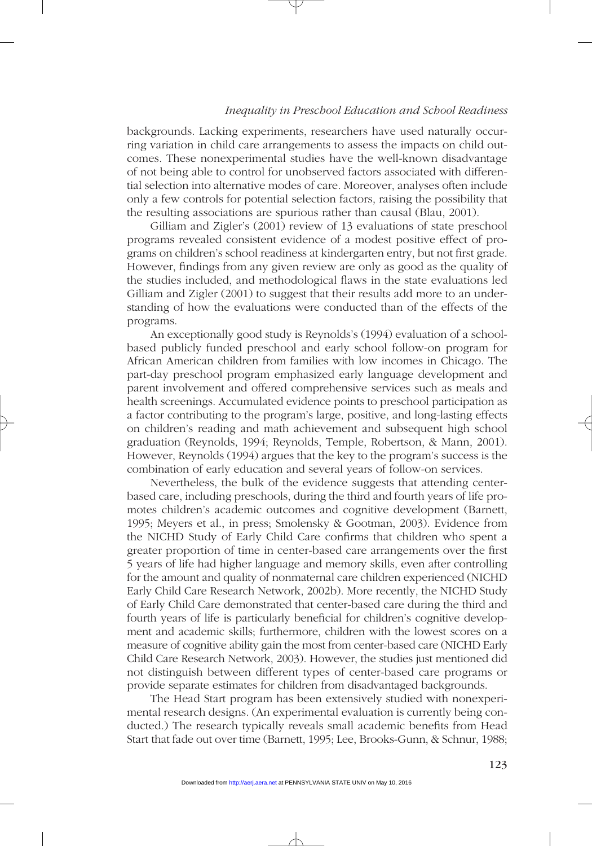backgrounds. Lacking experiments, researchers have used naturally occurring variation in child care arrangements to assess the impacts on child outcomes. These nonexperimental studies have the well-known disadvantage of not being able to control for unobserved factors associated with differential selection into alternative modes of care. Moreover, analyses often include only a few controls for potential selection factors, raising the possibility that the resulting associations are spurious rather than causal (Blau, 2001).

Gilliam and Zigler's (2001) review of 13 evaluations of state preschool programs revealed consistent evidence of a modest positive effect of programs on children's school readiness at kindergarten entry, but not first grade. However, findings from any given review are only as good as the quality of the studies included, and methodological flaws in the state evaluations led Gilliam and Zigler (2001) to suggest that their results add more to an understanding of how the evaluations were conducted than of the effects of the programs.

An exceptionally good study is Reynolds's (1994) evaluation of a schoolbased publicly funded preschool and early school follow-on program for African American children from families with low incomes in Chicago. The part-day preschool program emphasized early language development and parent involvement and offered comprehensive services such as meals and health screenings. Accumulated evidence points to preschool participation as a factor contributing to the program's large, positive, and long-lasting effects on children's reading and math achievement and subsequent high school graduation (Reynolds, 1994; Reynolds, Temple, Robertson, & Mann, 2001). However, Reynolds (1994) argues that the key to the program's success is the combination of early education and several years of follow-on services.

Nevertheless, the bulk of the evidence suggests that attending centerbased care, including preschools, during the third and fourth years of life promotes children's academic outcomes and cognitive development (Barnett, 1995; Meyers et al., in press; Smolensky & Gootman, 2003). Evidence from the NICHD Study of Early Child Care confirms that children who spent a greater proportion of time in center-based care arrangements over the first 5 years of life had higher language and memory skills, even after controlling for the amount and quality of nonmaternal care children experienced (NICHD Early Child Care Research Network, 2002b). More recently, the NICHD Study of Early Child Care demonstrated that center-based care during the third and fourth years of life is particularly beneficial for children's cognitive development and academic skills; furthermore, children with the lowest scores on a measure of cognitive ability gain the most from center-based care (NICHD Early Child Care Research Network, 2003). However, the studies just mentioned did not distinguish between different types of center-based care programs or provide separate estimates for children from disadvantaged backgrounds.

The Head Start program has been extensively studied with nonexperimental research designs. (An experimental evaluation is currently being conducted.) The research typically reveals small academic benefits from Head Start that fade out over time (Barnett, 1995; Lee, Brooks-Gunn, & Schnur, 1988;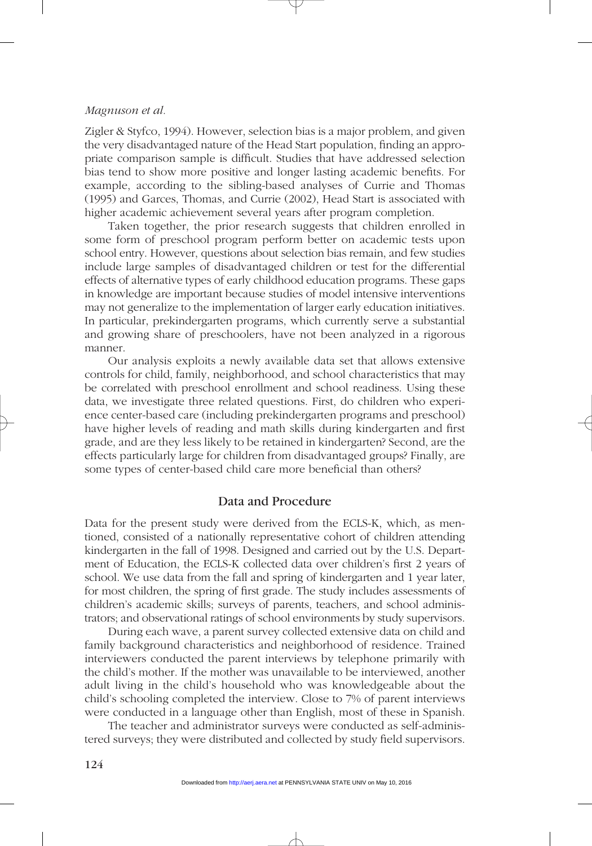Zigler & Styfco, 1994). However, selection bias is a major problem, and given the very disadvantaged nature of the Head Start population, finding an appropriate comparison sample is difficult. Studies that have addressed selection bias tend to show more positive and longer lasting academic benefits. For example, according to the sibling-based analyses of Currie and Thomas (1995) and Garces, Thomas, and Currie (2002), Head Start is associated with higher academic achievement several years after program completion.

Taken together, the prior research suggests that children enrolled in some form of preschool program perform better on academic tests upon school entry. However, questions about selection bias remain, and few studies include large samples of disadvantaged children or test for the differential effects of alternative types of early childhood education programs. These gaps in knowledge are important because studies of model intensive interventions may not generalize to the implementation of larger early education initiatives. In particular, prekindergarten programs, which currently serve a substantial and growing share of preschoolers, have not been analyzed in a rigorous manner.

Our analysis exploits a newly available data set that allows extensive controls for child, family, neighborhood, and school characteristics that may be correlated with preschool enrollment and school readiness. Using these data, we investigate three related questions. First, do children who experience center-based care (including prekindergarten programs and preschool) have higher levels of reading and math skills during kindergarten and first grade, and are they less likely to be retained in kindergarten? Second, are the effects particularly large for children from disadvantaged groups? Finally, are some types of center-based child care more beneficial than others?

### Data and Procedure

Data for the present study were derived from the ECLS-K, which, as mentioned, consisted of a nationally representative cohort of children attending kindergarten in the fall of 1998. Designed and carried out by the U.S. Department of Education, the ECLS-K collected data over children's first 2 years of school. We use data from the fall and spring of kindergarten and 1 year later, for most children, the spring of first grade. The study includes assessments of children's academic skills; surveys of parents, teachers, and school administrators; and observational ratings of school environments by study supervisors.

During each wave, a parent survey collected extensive data on child and family background characteristics and neighborhood of residence. Trained interviewers conducted the parent interviews by telephone primarily with the child's mother. If the mother was unavailable to be interviewed, another adult living in the child's household who was knowledgeable about the child's schooling completed the interview. Close to 7% of parent interviews were conducted in a language other than English, most of these in Spanish.

The teacher and administrator surveys were conducted as self-administered surveys; they were distributed and collected by study field supervisors.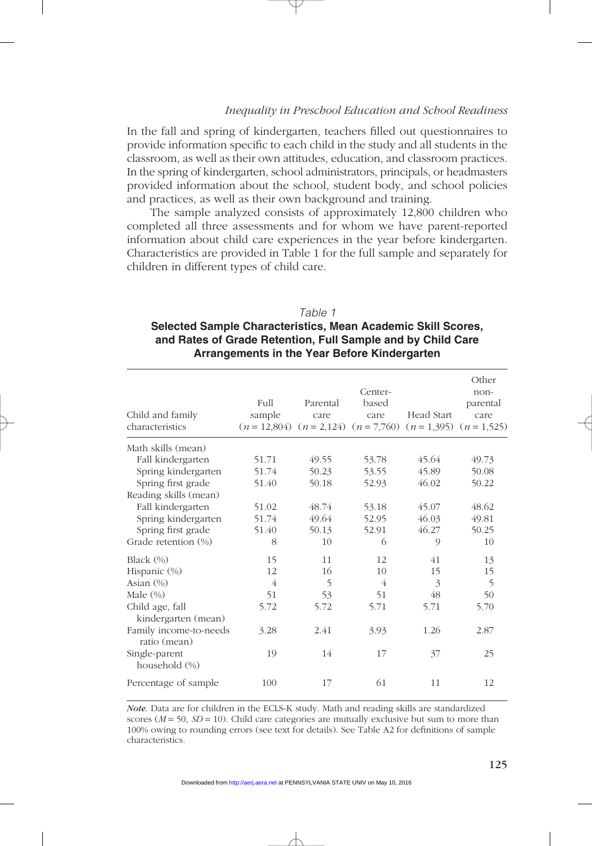In the fall and spring of kindergarten, teachers filled out questionnaires to provide information specific to each child in the study and all students in the classroom, as well as their own attitudes, education, and classroom practices. In the spring of kindergarten, school administrators, principals, or headmasters provided information about the school, student body, and school policies and practices, as well as their own background and training.

The sample analyzed consists of approximately 12,800 children who completed all three assessments and for whom we have parent-reported information about child care experiences in the year before kindergarten. Characteristics are provided in Table 1 for the full sample and separately for children in different types of child care.

#### *Table 1*

### **Selected Sample Characteristics, Mean Academic Skill Scores, and Rates of Grade Retention, Full Sample and by Child Care Arrangements in the Year Before Kindergarten**

| Child and family<br>characteristics    | Full<br>sample<br>$(n = 12,804)$ $(n = 2,124)$ $(n = 7,760)$ $(n = 1,395)$ $(n = 1,525)$ | Parental<br>care | Center-<br>based<br>care | Head Start | Other<br>non-<br>parental<br>care |
|----------------------------------------|------------------------------------------------------------------------------------------|------------------|--------------------------|------------|-----------------------------------|
| Math skills (mean)                     |                                                                                          |                  |                          |            |                                   |
| Fall kindergarten                      | 51.71                                                                                    | 49.55            | 53.78                    | 45.64      | 49.73                             |
| Spring kindergarten                    | 51.74                                                                                    | 50.23            | 53.55                    | 45.89      | 50.08                             |
| Spring first grade                     | 51.40                                                                                    | 50.18            | 52.93                    | 46.02      | 50.22                             |
| Reading skills (mean)                  |                                                                                          |                  |                          |            |                                   |
| Fall kindergarten                      | 51.02                                                                                    | 48.74            | 53.18                    | 45.07      | 48.62                             |
| Spring kindergarten                    | 51.74                                                                                    | 49.64            | 52.95                    | 46.03      | 49.81                             |
| Spring first grade                     | 51.40                                                                                    | 50.13            | 52.91                    | 46.27      | 50.25                             |
| Grade retention (%)                    | 8                                                                                        | 10               | 6                        | $\circ$    | 10                                |
| Black (%)                              | 15                                                                                       | 11               | 12                       | 41         | 13                                |
| Hispanic (%)                           | 12                                                                                       | 16               | 10                       | 15         | 15                                |
| Asian $(\%)$                           | 4                                                                                        | 5                | 4                        | 3          | 5                                 |
| Male $(\%)$                            | 51                                                                                       | 53               | 51                       | 48         | 50                                |
| Child age, fall<br>kindergarten (mean) | 5.72                                                                                     | 5.72             | 5.71                     | 5.71       | 5.70                              |
| Family income-to-needs<br>ratio (mean) | 3.28                                                                                     | 2.41             | 3.93                     | 1.26       | 2.87                              |
| Single-parent<br>household (%)         | 19                                                                                       | 14               | 17                       | 37         | 25                                |
| Percentage of sample                   | 100                                                                                      | 17               | 61                       | 11         | 12                                |

*Note.* Data are for children in the ECLS-K study. Math and reading skills are standardized scores  $(M = 50, SD = 10)$ . Child care categories are mutually exclusive but sum to more than 100% owing to rounding errors (see text for details). See Table A2 for definitions of sample characteristics.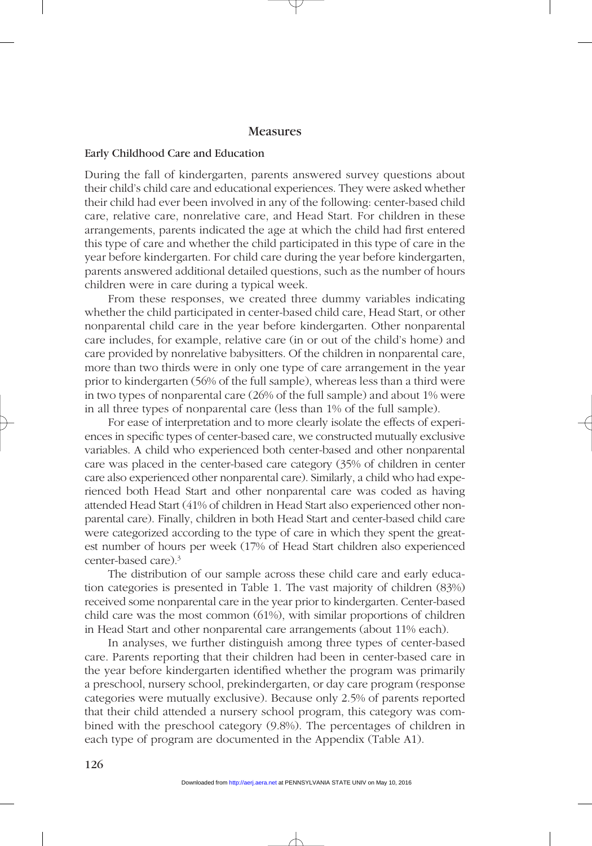#### Measures

#### Early Childhood Care and Education

During the fall of kindergarten, parents answered survey questions about their child's child care and educational experiences. They were asked whether their child had ever been involved in any of the following: center-based child care, relative care, nonrelative care, and Head Start. For children in these arrangements, parents indicated the age at which the child had first entered this type of care and whether the child participated in this type of care in the year before kindergarten. For child care during the year before kindergarten, parents answered additional detailed questions, such as the number of hours children were in care during a typical week.

From these responses, we created three dummy variables indicating whether the child participated in center-based child care, Head Start, or other nonparental child care in the year before kindergarten. Other nonparental care includes, for example, relative care (in or out of the child's home) and care provided by nonrelative babysitters. Of the children in nonparental care, more than two thirds were in only one type of care arrangement in the year prior to kindergarten (56% of the full sample), whereas less than a third were in two types of nonparental care (26% of the full sample) and about 1% were in all three types of nonparental care (less than 1% of the full sample).

For ease of interpretation and to more clearly isolate the effects of experiences in specific types of center-based care, we constructed mutually exclusive variables. A child who experienced both center-based and other nonparental care was placed in the center-based care category (35% of children in center care also experienced other nonparental care). Similarly, a child who had experienced both Head Start and other nonparental care was coded as having attended Head Start (41% of children in Head Start also experienced other nonparental care). Finally, children in both Head Start and center-based child care were categorized according to the type of care in which they spent the greatest number of hours per week (17% of Head Start children also experienced center-based care).3

The distribution of our sample across these child care and early education categories is presented in Table 1. The vast majority of children (83%) received some nonparental care in the year prior to kindergarten. Center-based child care was the most common (61%), with similar proportions of children in Head Start and other nonparental care arrangements (about 11% each).

In analyses, we further distinguish among three types of center-based care. Parents reporting that their children had been in center-based care in the year before kindergarten identified whether the program was primarily a preschool, nursery school, prekindergarten, or day care program (response categories were mutually exclusive). Because only 2.5% of parents reported that their child attended a nursery school program, this category was combined with the preschool category (9.8%). The percentages of children in each type of program are documented in the Appendix (Table A1).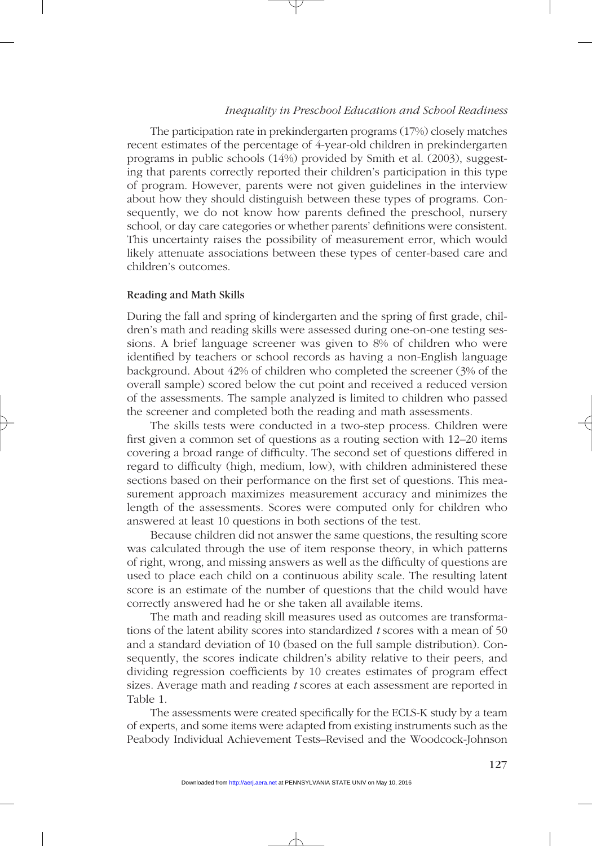The participation rate in prekindergarten programs (17%) closely matches recent estimates of the percentage of 4-year-old children in prekindergarten programs in public schools (14%) provided by Smith et al. (2003), suggesting that parents correctly reported their children's participation in this type of program. However, parents were not given guidelines in the interview about how they should distinguish between these types of programs. Consequently, we do not know how parents defined the preschool, nursery school, or day care categories or whether parents' definitions were consistent. This uncertainty raises the possibility of measurement error, which would likely attenuate associations between these types of center-based care and children's outcomes.

#### Reading and Math Skills

During the fall and spring of kindergarten and the spring of first grade, children's math and reading skills were assessed during one-on-one testing sessions. A brief language screener was given to 8% of children who were identified by teachers or school records as having a non-English language background. About 42% of children who completed the screener (3% of the overall sample) scored below the cut point and received a reduced version of the assessments. The sample analyzed is limited to children who passed the screener and completed both the reading and math assessments.

The skills tests were conducted in a two-step process. Children were first given a common set of questions as a routing section with 12–20 items covering a broad range of difficulty. The second set of questions differed in regard to difficulty (high, medium, low), with children administered these sections based on their performance on the first set of questions. This measurement approach maximizes measurement accuracy and minimizes the length of the assessments. Scores were computed only for children who answered at least 10 questions in both sections of the test.

Because children did not answer the same questions, the resulting score was calculated through the use of item response theory, in which patterns of right, wrong, and missing answers as well as the difficulty of questions are used to place each child on a continuous ability scale. The resulting latent score is an estimate of the number of questions that the child would have correctly answered had he or she taken all available items.

The math and reading skill measures used as outcomes are transformations of the latent ability scores into standardized *t* scores with a mean of 50 and a standard deviation of 10 (based on the full sample distribution). Consequently, the scores indicate children's ability relative to their peers, and dividing regression coefficients by 10 creates estimates of program effect sizes. Average math and reading *t* scores at each assessment are reported in Table 1.

The assessments were created specifically for the ECLS-K study by a team of experts, and some items were adapted from existing instruments such as the Peabody Individual Achievement Tests–Revised and the Woodcock-Johnson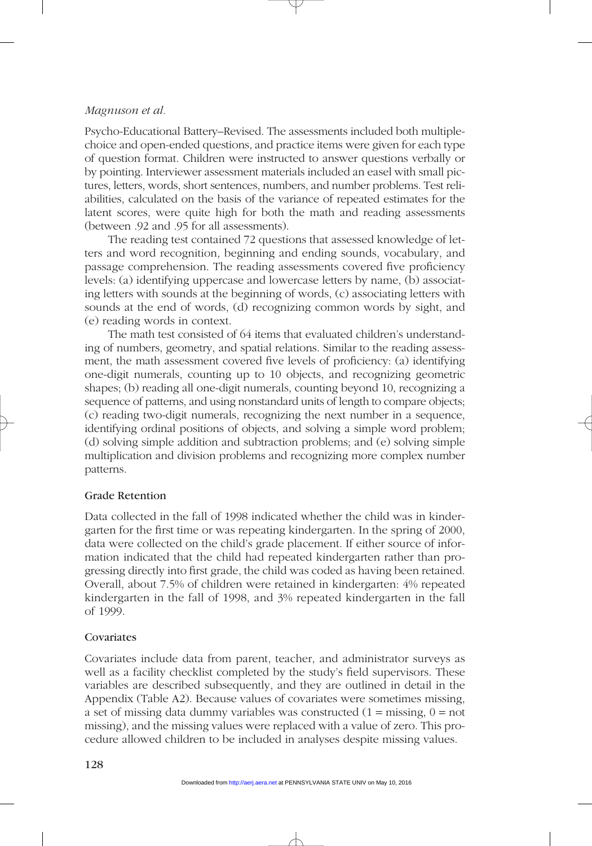Psycho-Educational Battery–Revised. The assessments included both multiplechoice and open-ended questions, and practice items were given for each type of question format. Children were instructed to answer questions verbally or by pointing. Interviewer assessment materials included an easel with small pictures, letters, words, short sentences, numbers, and number problems. Test reliabilities, calculated on the basis of the variance of repeated estimates for the latent scores, were quite high for both the math and reading assessments (between .92 and .95 for all assessments).

The reading test contained 72 questions that assessed knowledge of letters and word recognition, beginning and ending sounds, vocabulary, and passage comprehension. The reading assessments covered five proficiency levels: (a) identifying uppercase and lowercase letters by name, (b) associating letters with sounds at the beginning of words, (c) associating letters with sounds at the end of words, (d) recognizing common words by sight, and (e) reading words in context.

The math test consisted of 64 items that evaluated children's understanding of numbers, geometry, and spatial relations. Similar to the reading assessment, the math assessment covered five levels of proficiency: (a) identifying one-digit numerals, counting up to 10 objects, and recognizing geometric shapes; (b) reading all one-digit numerals, counting beyond 10, recognizing a sequence of patterns, and using nonstandard units of length to compare objects; (c) reading two-digit numerals, recognizing the next number in a sequence, identifying ordinal positions of objects, and solving a simple word problem; (d) solving simple addition and subtraction problems; and (e) solving simple multiplication and division problems and recognizing more complex number patterns.

## Grade Retention

Data collected in the fall of 1998 indicated whether the child was in kindergarten for the first time or was repeating kindergarten. In the spring of 2000, data were collected on the child's grade placement. If either source of information indicated that the child had repeated kindergarten rather than progressing directly into first grade, the child was coded as having been retained. Overall, about 7.5% of children were retained in kindergarten: 4% repeated kindergarten in the fall of 1998, and 3% repeated kindergarten in the fall of 1999.

### **Covariates**

Covariates include data from parent, teacher, and administrator surveys as well as a facility checklist completed by the study's field supervisors. These variables are described subsequently, and they are outlined in detail in the Appendix (Table A2). Because values of covariates were sometimes missing, a set of missing data dummy variables was constructed  $(1 = \text{missing}, 0 = \text{not}$ missing), and the missing values were replaced with a value of zero. This procedure allowed children to be included in analyses despite missing values.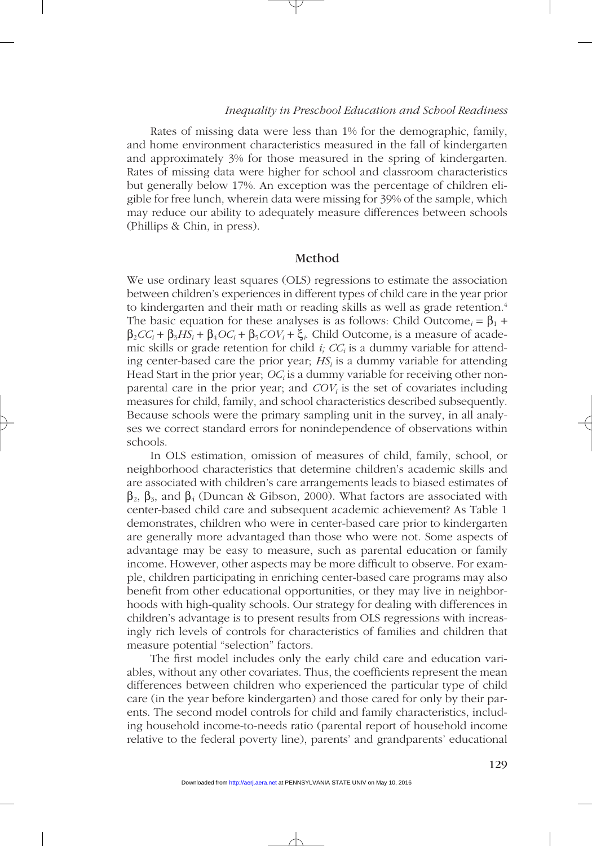Rates of missing data were less than 1% for the demographic, family, and home environment characteristics measured in the fall of kindergarten and approximately 3% for those measured in the spring of kindergarten. Rates of missing data were higher for school and classroom characteristics but generally below 17%. An exception was the percentage of children eligible for free lunch, wherein data were missing for 39% of the sample, which may reduce our ability to adequately measure differences between schools (Phillips & Chin, in press).

#### Method

We use ordinary least squares (OLS) regressions to estimate the association between children's experiences in different types of child care in the year prior to kindergarten and their math or reading skills as well as grade retention.<sup>4</sup> The basic equation for these analyses is as follows: Child Outcome<sub>*i*</sub> =  $\beta_1$  +  $β_2CC_i + β_3HS_i + β_4OC_i + β_5COV_i + ξ_i$ . Child Outcome<sub>*i*</sub> is a measure of academic skills or grade retention for child  $i$ ;  $CC<sub>i</sub>$  is a dummy variable for attending center-based care the prior year; *HSi* is a dummy variable for attending Head Start in the prior year; *OCi* is a dummy variable for receiving other nonparental care in the prior year; and  $COV_i$  is the set of covariates including measures for child, family, and school characteristics described subsequently. Because schools were the primary sampling unit in the survey, in all analyses we correct standard errors for nonindependence of observations within schools.

In OLS estimation, omission of measures of child, family, school, or neighborhood characteristics that determine children's academic skills and are associated with children's care arrangements leads to biased estimates of  $β_2$ ,  $β_3$ , and  $β_4$  (Duncan & Gibson, 2000). What factors are associated with center-based child care and subsequent academic achievement? As Table 1 demonstrates, children who were in center-based care prior to kindergarten are generally more advantaged than those who were not. Some aspects of advantage may be easy to measure, such as parental education or family income. However, other aspects may be more difficult to observe. For example, children participating in enriching center-based care programs may also benefit from other educational opportunities, or they may live in neighborhoods with high-quality schools. Our strategy for dealing with differences in children's advantage is to present results from OLS regressions with increasingly rich levels of controls for characteristics of families and children that measure potential "selection" factors.

The first model includes only the early child care and education variables, without any other covariates. Thus, the coefficients represent the mean differences between children who experienced the particular type of child care (in the year before kindergarten) and those cared for only by their parents. The second model controls for child and family characteristics, including household income-to-needs ratio (parental report of household income relative to the federal poverty line), parents' and grandparents' educational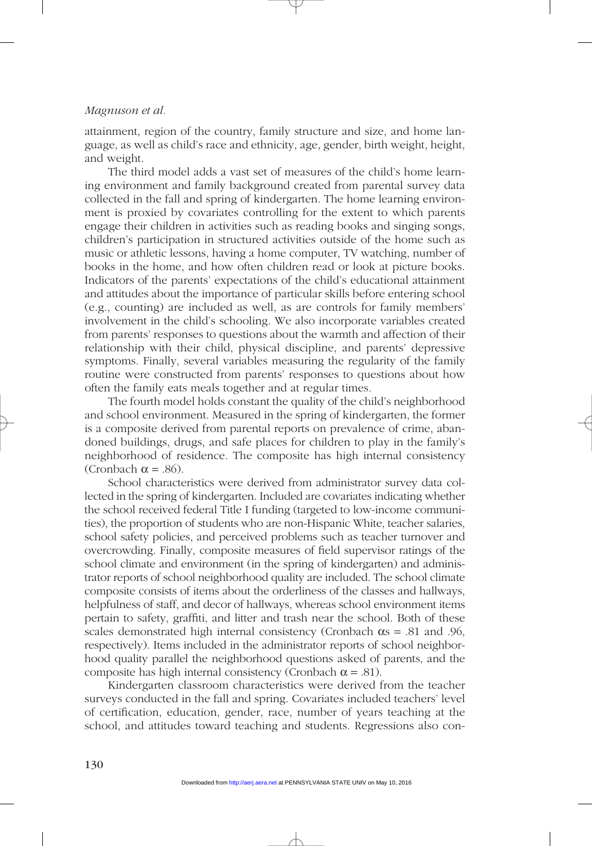attainment, region of the country, family structure and size, and home language, as well as child's race and ethnicity, age, gender, birth weight, height, and weight.

The third model adds a vast set of measures of the child's home learning environment and family background created from parental survey data collected in the fall and spring of kindergarten. The home learning environment is proxied by covariates controlling for the extent to which parents engage their children in activities such as reading books and singing songs, children's participation in structured activities outside of the home such as music or athletic lessons, having a home computer, TV watching, number of books in the home, and how often children read or look at picture books. Indicators of the parents' expectations of the child's educational attainment and attitudes about the importance of particular skills before entering school (e.g., counting) are included as well, as are controls for family members' involvement in the child's schooling. We also incorporate variables created from parents' responses to questions about the warmth and affection of their relationship with their child, physical discipline, and parents' depressive symptoms. Finally, several variables measuring the regularity of the family routine were constructed from parents' responses to questions about how often the family eats meals together and at regular times.

The fourth model holds constant the quality of the child's neighborhood and school environment. Measured in the spring of kindergarten, the former is a composite derived from parental reports on prevalence of crime, abandoned buildings, drugs, and safe places for children to play in the family's neighborhood of residence. The composite has high internal consistency (Cronbach  $\alpha = .86$ ).

School characteristics were derived from administrator survey data collected in the spring of kindergarten. Included are covariates indicating whether the school received federal Title I funding (targeted to low-income communities), the proportion of students who are non-Hispanic White, teacher salaries, school safety policies, and perceived problems such as teacher turnover and overcrowding. Finally, composite measures of field supervisor ratings of the school climate and environment (in the spring of kindergarten) and administrator reports of school neighborhood quality are included. The school climate composite consists of items about the orderliness of the classes and hallways, helpfulness of staff, and decor of hallways, whereas school environment items pertain to safety, graffiti, and litter and trash near the school. Both of these scales demonstrated high internal consistency (Cronbach  $\alpha s = .81$  and .96, respectively). Items included in the administrator reports of school neighborhood quality parallel the neighborhood questions asked of parents, and the composite has high internal consistency (Cronbach  $\alpha = .81$ ).

Kindergarten classroom characteristics were derived from the teacher surveys conducted in the fall and spring. Covariates included teachers' level of certification, education, gender, race, number of years teaching at the school, and attitudes toward teaching and students. Regressions also con-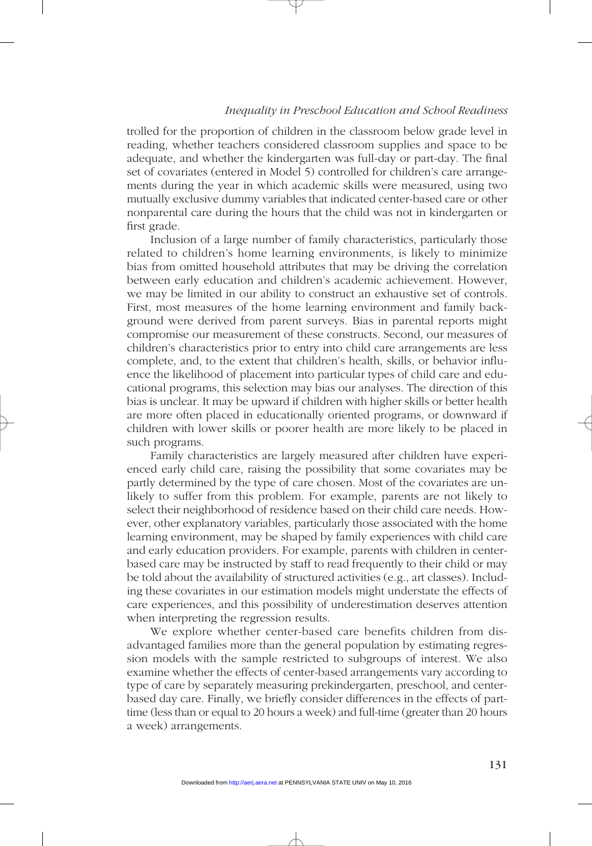trolled for the proportion of children in the classroom below grade level in reading, whether teachers considered classroom supplies and space to be adequate, and whether the kindergarten was full-day or part-day. The final set of covariates (entered in Model 5) controlled for children's care arrangements during the year in which academic skills were measured, using two mutually exclusive dummy variables that indicated center-based care or other nonparental care during the hours that the child was not in kindergarten or first grade.

Inclusion of a large number of family characteristics, particularly those related to children's home learning environments, is likely to minimize bias from omitted household attributes that may be driving the correlation between early education and children's academic achievement. However, we may be limited in our ability to construct an exhaustive set of controls. First, most measures of the home learning environment and family background were derived from parent surveys. Bias in parental reports might compromise our measurement of these constructs. Second, our measures of children's characteristics prior to entry into child care arrangements are less complete, and, to the extent that children's health, skills, or behavior influence the likelihood of placement into particular types of child care and educational programs, this selection may bias our analyses. The direction of this bias is unclear. It may be upward if children with higher skills or better health are more often placed in educationally oriented programs, or downward if children with lower skills or poorer health are more likely to be placed in such programs.

Family characteristics are largely measured after children have experienced early child care, raising the possibility that some covariates may be partly determined by the type of care chosen. Most of the covariates are unlikely to suffer from this problem. For example, parents are not likely to select their neighborhood of residence based on their child care needs. However, other explanatory variables, particularly those associated with the home learning environment, may be shaped by family experiences with child care and early education providers. For example, parents with children in centerbased care may be instructed by staff to read frequently to their child or may be told about the availability of structured activities (e.g., art classes). Including these covariates in our estimation models might understate the effects of care experiences, and this possibility of underestimation deserves attention when interpreting the regression results.

We explore whether center-based care benefits children from disadvantaged families more than the general population by estimating regression models with the sample restricted to subgroups of interest. We also examine whether the effects of center-based arrangements vary according to type of care by separately measuring prekindergarten, preschool, and centerbased day care. Finally, we briefly consider differences in the effects of parttime (less than or equal to 20 hours a week) and full-time (greater than 20 hours a week) arrangements.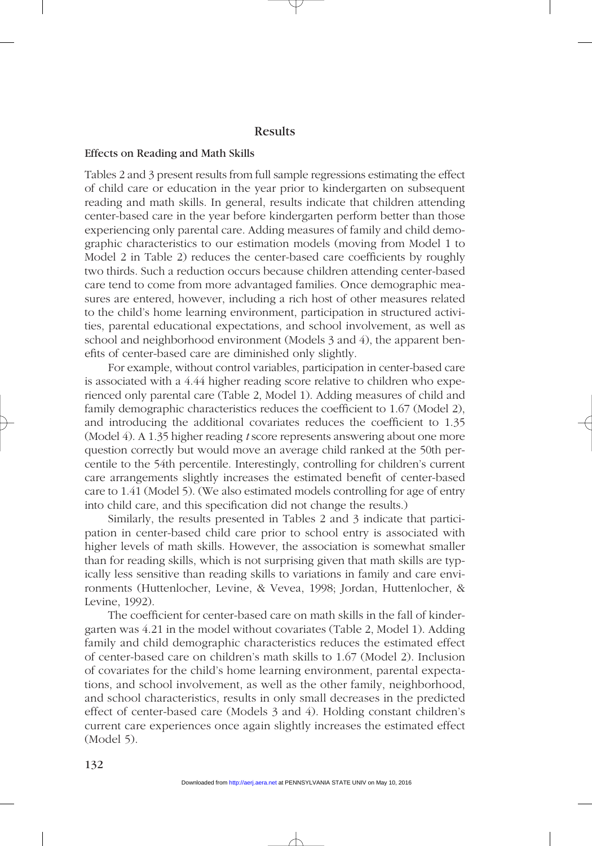### Results

### Effects on Reading and Math Skills

Tables 2 and 3 present results from full sample regressions estimating the effect of child care or education in the year prior to kindergarten on subsequent reading and math skills. In general, results indicate that children attending center-based care in the year before kindergarten perform better than those experiencing only parental care. Adding measures of family and child demographic characteristics to our estimation models (moving from Model 1 to Model 2 in Table 2) reduces the center-based care coefficients by roughly two thirds. Such a reduction occurs because children attending center-based care tend to come from more advantaged families. Once demographic measures are entered, however, including a rich host of other measures related to the child's home learning environment, participation in structured activities, parental educational expectations, and school involvement, as well as school and neighborhood environment (Models 3 and 4), the apparent benefits of center-based care are diminished only slightly.

For example, without control variables, participation in center-based care is associated with a 4.44 higher reading score relative to children who experienced only parental care (Table 2, Model 1). Adding measures of child and family demographic characteristics reduces the coefficient to 1.67 (Model 2), and introducing the additional covariates reduces the coefficient to 1.35 (Model 4). A 1.35 higher reading *t* score represents answering about one more question correctly but would move an average child ranked at the 50th percentile to the 54th percentile. Interestingly, controlling for children's current care arrangements slightly increases the estimated benefit of center-based care to 1.41 (Model 5). (We also estimated models controlling for age of entry into child care, and this specification did not change the results.)

Similarly, the results presented in Tables 2 and 3 indicate that participation in center-based child care prior to school entry is associated with higher levels of math skills. However, the association is somewhat smaller than for reading skills, which is not surprising given that math skills are typically less sensitive than reading skills to variations in family and care environments (Huttenlocher, Levine, & Vevea, 1998; Jordan, Huttenlocher, & Levine, 1992).

The coefficient for center-based care on math skills in the fall of kindergarten was 4.21 in the model without covariates (Table 2, Model 1). Adding family and child demographic characteristics reduces the estimated effect of center-based care on children's math skills to 1.67 (Model 2). Inclusion of covariates for the child's home learning environment, parental expectations, and school involvement, as well as the other family, neighborhood, and school characteristics, results in only small decreases in the predicted effect of center-based care (Models 3 and 4). Holding constant children's current care experiences once again slightly increases the estimated effect (Model 5).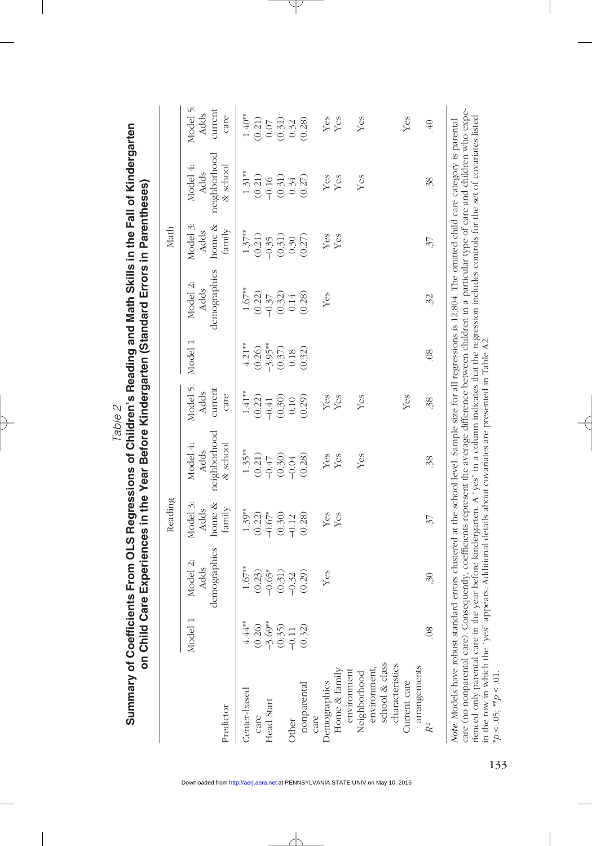| Į | h Skills in the Fall of Kinde | <b>Par Before N.</b> |
|---|-------------------------------|----------------------|
| J | .<br>המה המה המה              | ļ                    |
| į | <b>SIGNAL CONSIDING</b>       | e Ex.                |
| j | finir                         | こと へい                |

|                                                                                                                                                                |                                              |                                         | Reading                                    |                                                     |                                     |                                                                                 |                                           | Math                                                                   |                                              |                                                                   |
|----------------------------------------------------------------------------------------------------------------------------------------------------------------|----------------------------------------------|-----------------------------------------|--------------------------------------------|-----------------------------------------------------|-------------------------------------|---------------------------------------------------------------------------------|-------------------------------------------|------------------------------------------------------------------------|----------------------------------------------|-------------------------------------------------------------------|
| Predictor                                                                                                                                                      | Model                                        | demographics<br>Model 2:<br><b>Adds</b> | Model 3:<br>home &<br>family<br>Adds       | neighborhood<br>Model 4:<br>& school<br><b>Adds</b> | Model 5:<br>current<br>Adds<br>care | Model 1                                                                         | demographics<br>Model 2:<br>Adds          | Model 3:<br>home &<br>family<br>Adds                                   | neighborhood<br>Model 4:<br>& school<br>Adds | Model 5<br>current<br>Adds<br>care                                |
| Center-based                                                                                                                                                   | 4.44**                                       | $1.67**$                                | $1.39***$                                  |                                                     | $1.41**$                            | $4.21***$                                                                       | $1.67**$                                  |                                                                        | $1.31***$                                    | $1.40**$                                                          |
| Head Start<br>care                                                                                                                                             | $(0.26)$<br>$(0.36)$<br>$(0.35)$<br>$(0.31)$ | $(0.23)$<br>$-0.65*$                    | $(0.22)$<br>$-0.67$<br>$(0.30)$<br>$-0.12$ | $1.35***$<br>(0.21)<br>-0.47                        | (0.22)                              | $\begin{array}{c} (0.26) \\ -3.95^{**} \\ (0.37) \\ 0.18 \\ (0.32) \end{array}$ | $(0.37)$<br>$-0.37$<br>$(0.32)$<br>$0.14$ | $\begin{array}{c} 1.37^{**} \\ (0.21) \\ (0.35) \\ (0.31) \end{array}$ | $(0.21)$<br>$-0.16$                          | $\begin{array}{l} (0.21)\\ 0.07\\ 0.31\\ 0.32\\ 0.28 \end{array}$ |
|                                                                                                                                                                |                                              | (0.31)                                  |                                            | (0.30)                                              | (0.30)                              |                                                                                 |                                           |                                                                        |                                              |                                                                   |
| Other                                                                                                                                                          |                                              | $-0.32$                                 |                                            | $-0.04$                                             | $0.10\,$                            |                                                                                 |                                           | 0.30                                                                   | $^{(0.31)}_{0.34}$                           |                                                                   |
| nonparental                                                                                                                                                    | (0.32)                                       | (0.29)                                  | (0.28)                                     | (0.28)                                              | (0.29)                              |                                                                                 | (0.28)                                    | (0.27)                                                                 | (0.27)                                       |                                                                   |
| care                                                                                                                                                           |                                              |                                         |                                            |                                                     |                                     |                                                                                 |                                           |                                                                        |                                              |                                                                   |
| Demographics                                                                                                                                                   |                                              | Yes                                     | $Yes$<br>Yes                               | Yes                                                 | Yes                                 |                                                                                 | Yes                                       | Yes<br>Yes                                                             |                                              | Yes<br>Yes                                                        |
| Home & family                                                                                                                                                  |                                              |                                         |                                            | Yes                                                 | Yes                                 |                                                                                 |                                           |                                                                        | Yes<br>Yes                                   |                                                                   |
| environment                                                                                                                                                    |                                              |                                         |                                            |                                                     |                                     |                                                                                 |                                           |                                                                        |                                              |                                                                   |
| Neighborhood                                                                                                                                                   |                                              |                                         |                                            | Yes                                                 | Yes                                 |                                                                                 |                                           |                                                                        | Yes                                          | Yes                                                               |
| school & class<br>environment,                                                                                                                                 |                                              |                                         |                                            |                                                     |                                     |                                                                                 |                                           |                                                                        |                                              |                                                                   |
| characteristics                                                                                                                                                |                                              |                                         |                                            |                                                     |                                     |                                                                                 |                                           |                                                                        |                                              |                                                                   |
| Current care                                                                                                                                                   |                                              |                                         |                                            |                                                     | Yes                                 |                                                                                 |                                           |                                                                        |                                              | Yes                                                               |
| arrangements                                                                                                                                                   |                                              |                                         |                                            |                                                     |                                     |                                                                                 |                                           |                                                                        |                                              |                                                                   |
| $R^2$                                                                                                                                                          | $\overline{\phantom{0}}$                     | $\ddot{30}$                             | 57                                         | 38.                                                 | 38.                                 | $\overline{0}$                                                                  | 32                                        | 37                                                                     | 38                                           | $\overline{40}$                                                   |
| Note. Models have robust standard errors clustered at the school level. Sample size for all regressions is 12,804. The omitted child care category is parental |                                              |                                         |                                            |                                                     |                                     |                                                                                 |                                           |                                                                        |                                              |                                                                   |

*Note.* Models have robust standard errors clustered at the school level. Sample size for all regressions is 12,804. The omitted child care category is parental care (no nonparental care). Consequently, coefficients repre care (no nonparental care). Consequently, coefficients represent the average difference between children in a particular type of care and children who experienced only parental care in the year before kindergarten. A "yes" in a column indicates that the regression includes controls for the set of covariates listed in the row in which the "yes" appears. Additional details about covariates are presented in Table A2. \**p* < .05; \*\**p* < .01.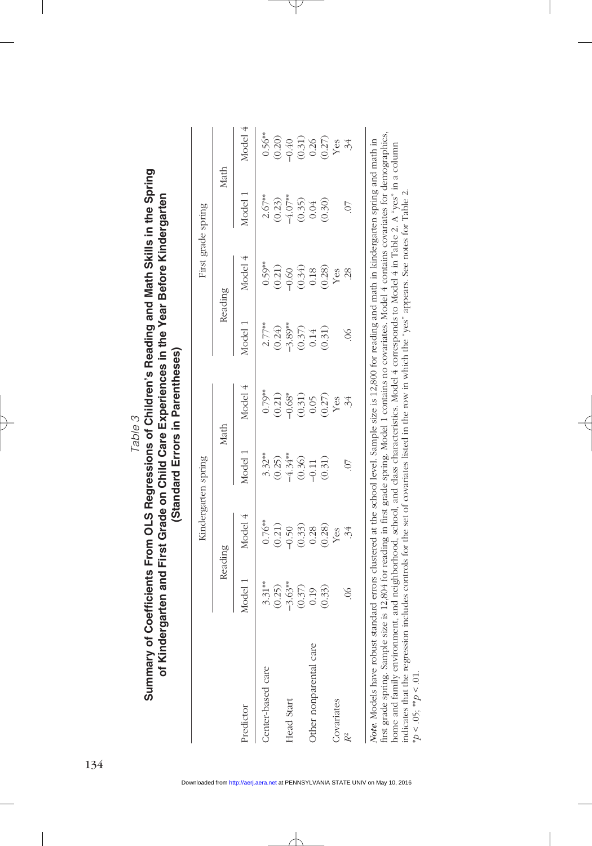|                                                                                                                                                                                                                                                                                                                                                                                                                          |           |             | Kindergarten spring |           |           |           | First grade spring |             |
|--------------------------------------------------------------------------------------------------------------------------------------------------------------------------------------------------------------------------------------------------------------------------------------------------------------------------------------------------------------------------------------------------------------------------|-----------|-------------|---------------------|-----------|-----------|-----------|--------------------|-------------|
|                                                                                                                                                                                                                                                                                                                                                                                                                          |           | Reading     |                     | Math      |           | Reading   |                    | Math        |
| Predictor                                                                                                                                                                                                                                                                                                                                                                                                                | Model 1   | Model 4     | Model 1             | Model 4   | Model     | Model 4   | Model 1            | Model 4     |
| Center-based care                                                                                                                                                                                                                                                                                                                                                                                                        | $3.31**$  | $0.76***$   | $3.32***$           | $0.79***$ | $2.77***$ | $0.59***$ | $2.67***$          | $0.56***$   |
|                                                                                                                                                                                                                                                                                                                                                                                                                          | (0.25)    | (0.21)      | (0.25)              | (0.21)    | (0.24)    | (0.21)    | (0.23)             | (0.20)      |
| Head Start                                                                                                                                                                                                                                                                                                                                                                                                               | $-3.63**$ | $-0.50$     | $-4.34***$          | $-0.68*$  | $-3.89**$ | $-0.60$   | $-4.07**$          | $-0.40$     |
|                                                                                                                                                                                                                                                                                                                                                                                                                          | (0.37)    | (0.33)      | (0.36)              | (0.31)    | (0.37)    | (0.34)    | (0.35)             | (0.31)      |
| Other nonparental care                                                                                                                                                                                                                                                                                                                                                                                                   | 0.19      | 0.28        | $-0.11$             | 0.05      | 0.14      | 0.18      | 0.04               | 0.26        |
|                                                                                                                                                                                                                                                                                                                                                                                                                          | (0.33)    | (0.28)      | (0.31)              | (0.27)    | (0.31)    | (0.28)    | (0.30)             | (0.27)      |
| Covariates                                                                                                                                                                                                                                                                                                                                                                                                               |           | Yes         |                     | Yes       |           | Yes       |                    | Yes         |
|                                                                                                                                                                                                                                                                                                                                                                                                                          | $\odot$   | $\ddot{34}$ | S.                  |           | $\odot$   | 28        | $\overline{0}$ .   | $\ddot{34}$ |
| first grade spring, Sample size is 12,804 for reading in first grade spring. Model 1 contains no covariates. Model 4 contains covariates for demographics,<br>home and family environment, and neighborhood, school, and class ch<br>Note. Models have robust standard errors clustered at the school level. Sample size is 12,800 for reading and math in kindergarten spring and math in<br>* $p$ < .05; ** $p$ < .01. |           |             |                     |           |           |           |                    |             |

Summary of Coefficients From OLS Regressions of Children's Reading and Math Skills in the Spring

**Summary of Coefficients From OLS Regressions of Children's Reading and Math Skills in the Spring**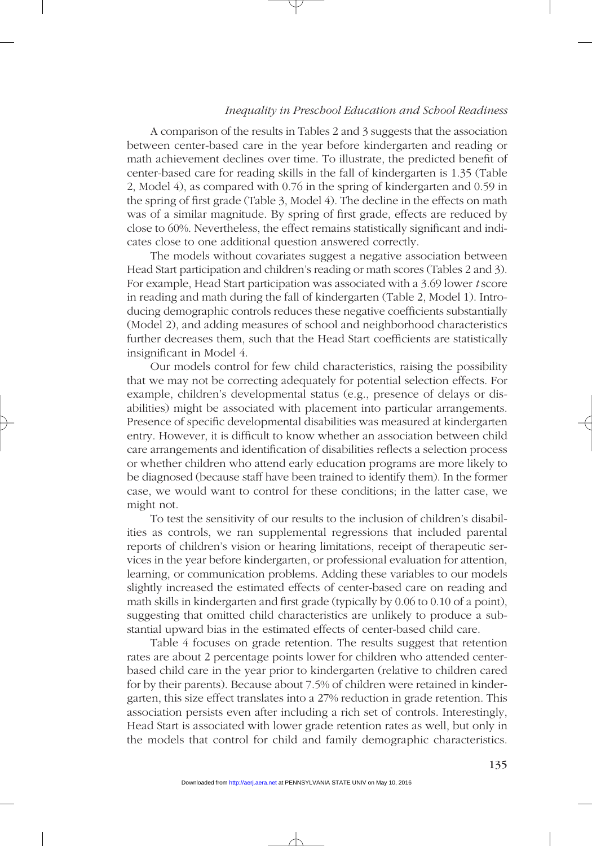A comparison of the results in Tables 2 and 3 suggests that the association between center-based care in the year before kindergarten and reading or math achievement declines over time. To illustrate, the predicted benefit of center-based care for reading skills in the fall of kindergarten is 1.35 (Table 2, Model 4), as compared with 0.76 in the spring of kindergarten and 0.59 in the spring of first grade (Table 3, Model 4). The decline in the effects on math was of a similar magnitude. By spring of first grade, effects are reduced by close to 60%. Nevertheless, the effect remains statistically significant and indicates close to one additional question answered correctly.

The models without covariates suggest a negative association between Head Start participation and children's reading or math scores (Tables 2 and 3). For example, Head Start participation was associated with a 3.69 lower *t* score in reading and math during the fall of kindergarten (Table 2, Model 1). Introducing demographic controls reduces these negative coefficients substantially (Model 2), and adding measures of school and neighborhood characteristics further decreases them, such that the Head Start coefficients are statistically insignificant in Model 4.

Our models control for few child characteristics, raising the possibility that we may not be correcting adequately for potential selection effects. For example, children's developmental status (e.g., presence of delays or disabilities) might be associated with placement into particular arrangements. Presence of specific developmental disabilities was measured at kindergarten entry. However, it is difficult to know whether an association between child care arrangements and identification of disabilities reflects a selection process or whether children who attend early education programs are more likely to be diagnosed (because staff have been trained to identify them). In the former case, we would want to control for these conditions; in the latter case, we might not.

To test the sensitivity of our results to the inclusion of children's disabilities as controls, we ran supplemental regressions that included parental reports of children's vision or hearing limitations, receipt of therapeutic services in the year before kindergarten, or professional evaluation for attention, learning, or communication problems. Adding these variables to our models slightly increased the estimated effects of center-based care on reading and math skills in kindergarten and first grade (typically by 0.06 to 0.10 of a point), suggesting that omitted child characteristics are unlikely to produce a substantial upward bias in the estimated effects of center-based child care.

Table 4 focuses on grade retention. The results suggest that retention rates are about 2 percentage points lower for children who attended centerbased child care in the year prior to kindergarten (relative to children cared for by their parents). Because about 7.5% of children were retained in kindergarten, this size effect translates into a 27% reduction in grade retention. This association persists even after including a rich set of controls. Interestingly, Head Start is associated with lower grade retention rates as well, but only in the models that control for child and family demographic characteristics.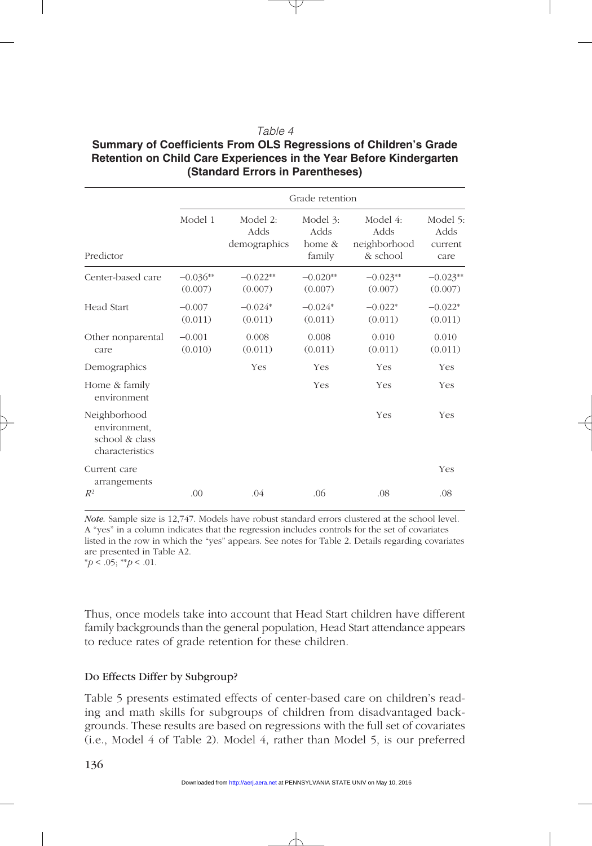|                                                                   |                       |                                  | Grade retention                         |                                              |                                     |
|-------------------------------------------------------------------|-----------------------|----------------------------------|-----------------------------------------|----------------------------------------------|-------------------------------------|
| Predictor                                                         | Model 1               | Model 2:<br>Adds<br>demographics | Model 3:<br>Adds<br>home $\&$<br>family | Model 4:<br>Adds<br>neighborhood<br>& school | Model 5:<br>Adds<br>current<br>care |
| Center-based care                                                 | $-0.036**$<br>(0.007) | $-0.022**$<br>(0.007)            | $-0.020**$<br>(0.007)                   | $-0.023**$<br>(0.007)                        | $-0.023**$<br>(0.007)               |
| Head Start                                                        | $-0.007$<br>(0.011)   | $-0.024*$<br>(0.011)             | $-0.024*$<br>(0.011)                    | $-0.022*$<br>(0.011)                         | $-0.022*$<br>(0.011)                |
| Other nonparental<br>care                                         | $-0.001$<br>(0.010)   | 0.008<br>(0.011)                 | 0.008<br>(0.011)                        | 0.010<br>(0.011)                             | 0.010<br>(0.011)                    |
| Demographics                                                      |                       | Yes                              | Yes                                     | Yes                                          | Yes                                 |
| Home & family<br>environment                                      |                       |                                  | Yes                                     | Yes                                          | Yes                                 |
| Neighborhood<br>environment,<br>school & class<br>characteristics |                       |                                  |                                         | Yes                                          | Yes                                 |
| Current care<br>arrangements<br>$R^2$                             | .00.                  | .04                              | .06                                     | .08                                          | Yes<br>.08                          |
|                                                                   |                       |                                  |                                         |                                              |                                     |

### *Table 4* **Summary of Coefficients From OLS Regressions of Children's Grade Retention on Child Care Experiences in the Year Before Kindergarten (Standard Errors in Parentheses)**

*Note.* Sample size is 12,747. Models have robust standard errors clustered at the school level. A "yes" in a column indicates that the regression includes controls for the set of covariates listed in the row in which the "yes" appears. See notes for Table 2. Details regarding covariates are presented in Table A2.  $*_{p}$  < .05;  $*_{p}$  < .01.

Thus, once models take into account that Head Start children have different family backgrounds than the general population, Head Start attendance appears to reduce rates of grade retention for these children.

### Do Effects Differ by Subgroup?

Table 5 presents estimated effects of center-based care on children's reading and math skills for subgroups of children from disadvantaged backgrounds. These results are based on regressions with the full set of covariates (i.e., Model 4 of Table 2). Model 4, rather than Model 5, is our preferred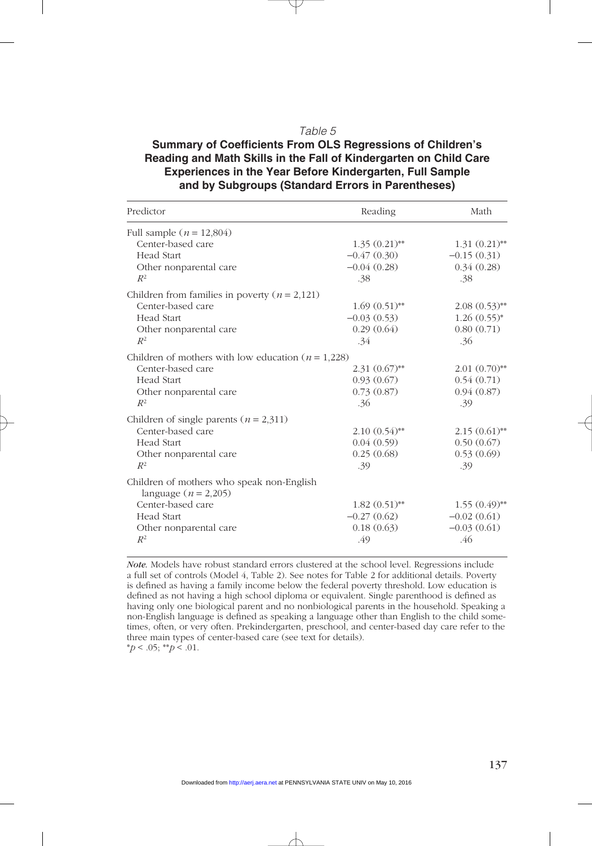### *Table 5* **Summary of Coefficients From OLS Regressions of Children's Reading and Math Skills in the Fall of Kindergarten on Child Care Experiences in the Year Before Kindergarten, Full Sample and by Subgroups (Standard Errors in Parentheses)**

| Predictor                                                             | Reading         | Math            |
|-----------------------------------------------------------------------|-----------------|-----------------|
| Full sample ( $n = 12,804$ )                                          |                 |                 |
| Center-based care                                                     | $1.35(0.21)$ ** | $1.31(0.21)$ ** |
| Head Start                                                            | $-0.47(0.30)$   | $-0.15(0.31)$   |
| Other nonparental care                                                | $-0.04(0.28)$   | 0.34(0.28)      |
| $R^2$                                                                 | .38             | .38             |
| Children from families in poverty ( $n = 2,121$ )                     |                 |                 |
| Center-based care                                                     | $1.69(0.51)$ ** | $2.08(0.53)$ ** |
| Head Start                                                            | $-0.03(0.53)$   | $1.26(0.55)*$   |
| Other nonparental care                                                | 0.29(0.64)      | 0.80(0.71)      |
| $R^2$                                                                 | .34             | .36             |
| Children of mothers with low education ( $n = 1,228$ )                |                 |                 |
| Center-based care                                                     | $2.31(0.67)$ ** | $2.01(0.70)$ ** |
| Head Start                                                            | 0.93(0.67)      | 0.54(0.71)      |
| Other nonparental care                                                | 0.73(0.87)      | 0.94(0.87)      |
| $R^2$                                                                 | .36             | .39             |
| Children of single parents ( $n = 2,311$ )                            |                 |                 |
| Center-based care                                                     | $2.10(0.54)$ ** | $2.15(0.61)$ ** |
| Head Start                                                            | 0.04(0.59)      | 0.50(0.67)      |
| Other nonparental care                                                | 0.25(0.68)      | 0.53(0.69)      |
| $R^2$                                                                 | .39             | .39             |
| Children of mothers who speak non-English<br>language ( $n = 2,205$ ) |                 |                 |
| Center-based care                                                     | $1.82(0.51)$ ** | $1.55(0.49)$ ** |
| Head Start                                                            | $-0.27(0.62)$   | $-0.02(0.61)$   |
| Other nonparental care                                                | 0.18(0.63)      | $-0.03(0.61)$   |
| $R^2$                                                                 | .49             | .46             |

*Note.* Models have robust standard errors clustered at the school level. Regressions include a full set of controls (Model 4, Table 2). See notes for Table 2 for additional details. Poverty is defined as having a family income below the federal poverty threshold. Low education is defined as not having a high school diploma or equivalent. Single parenthood is defined as having only one biological parent and no nonbiological parents in the household. Speaking a non-English language is defined as speaking a language other than English to the child sometimes, often, or very often. Prekindergarten, preschool, and center-based day care refer to the three main types of center-based care (see text for details). \**p* < .05; \*\**p* < .01.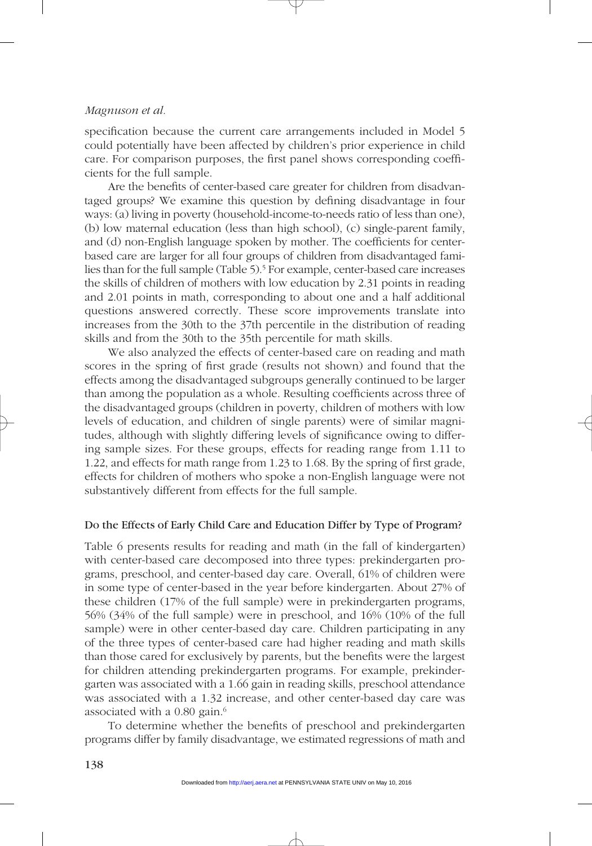specification because the current care arrangements included in Model 5 could potentially have been affected by children's prior experience in child care. For comparison purposes, the first panel shows corresponding coefficients for the full sample.

Are the benefits of center-based care greater for children from disadvantaged groups? We examine this question by defining disadvantage in four ways: (a) living in poverty (household-income-to-needs ratio of less than one), (b) low maternal education (less than high school), (c) single-parent family, and (d) non-English language spoken by mother. The coefficients for centerbased care are larger for all four groups of children from disadvantaged families than for the full sample (Table 5).<sup>5</sup> For example, center-based care increases the skills of children of mothers with low education by 2.31 points in reading and 2.01 points in math, corresponding to about one and a half additional questions answered correctly. These score improvements translate into increases from the 30th to the 37th percentile in the distribution of reading skills and from the 30th to the 35th percentile for math skills.

We also analyzed the effects of center-based care on reading and math scores in the spring of first grade (results not shown) and found that the effects among the disadvantaged subgroups generally continued to be larger than among the population as a whole. Resulting coefficients across three of the disadvantaged groups (children in poverty, children of mothers with low levels of education, and children of single parents) were of similar magnitudes, although with slightly differing levels of significance owing to differing sample sizes. For these groups, effects for reading range from 1.11 to 1.22, and effects for math range from 1.23 to 1.68. By the spring of first grade, effects for children of mothers who spoke a non-English language were not substantively different from effects for the full sample.

### Do the Effects of Early Child Care and Education Differ by Type of Program?

Table 6 presents results for reading and math (in the fall of kindergarten) with center-based care decomposed into three types: prekindergarten programs, preschool, and center-based day care. Overall, 61% of children were in some type of center-based in the year before kindergarten. About 27% of these children (17% of the full sample) were in prekindergarten programs, 56% (34% of the full sample) were in preschool, and 16% (10% of the full sample) were in other center-based day care. Children participating in any of the three types of center-based care had higher reading and math skills than those cared for exclusively by parents, but the benefits were the largest for children attending prekindergarten programs. For example, prekindergarten was associated with a 1.66 gain in reading skills, preschool attendance was associated with a 1.32 increase, and other center-based day care was associated with a 0.80 gain.<sup>6</sup>

To determine whether the benefits of preschool and prekindergarten programs differ by family disadvantage, we estimated regressions of math and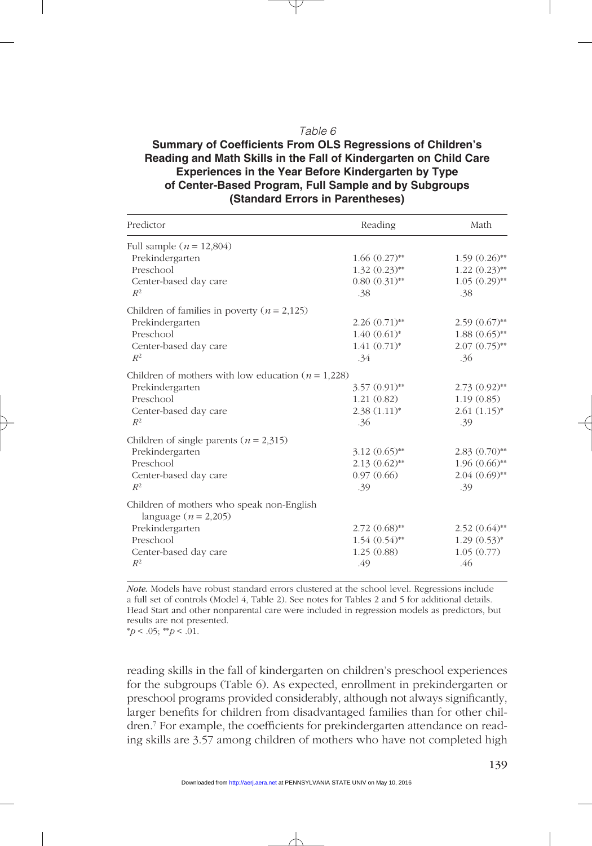#### *Table 6*

### **Summary of Coefficients From OLS Regressions of Children's Reading and Math Skills in the Fall of Kindergarten on Child Care Experiences in the Year Before Kindergarten by Type of Center-Based Program, Full Sample and by Subgroups (Standard Errors in Parentheses)**

| Predictor                                              | Reading         | Math            |
|--------------------------------------------------------|-----------------|-----------------|
| Full sample ( $n = 12,804$ )                           |                 |                 |
| Prekindergarten                                        | $1.66(0.27)$ ** | $1.59(0.26)$ ** |
| Preschool                                              | $1.32(0.23)$ ** | $1.22(0.23)$ ** |
| Center-based day care                                  | $0.80(0.31)$ ** | $1.05(0.29)$ ** |
| $R^2$                                                  | .38             | .38             |
| Children of families in poverty ( $n = 2,125$ )        |                 |                 |
| Prekindergarten                                        | $2.26(0.71)$ ** | $2.59(0.67)$ ** |
| Preschool                                              | $1.40(0.61)$ *  | $1.88(0.65)$ ** |
| Center-based day care                                  | $1.41(0.71)$ *  | $2.07(0.75)$ ** |
| $R^2$                                                  | .34             | .36             |
| Children of mothers with low education ( $n = 1,228$ ) |                 |                 |
| Prekindergarten                                        | $3.57(0.91)$ ** | $2.73(0.92)$ ** |
| Preschool                                              | 1.21(0.82)      | 1.19(0.85)      |
| Center-based day care                                  | $2.38(1.11)*$   | $2.61(1.15)^*$  |
| $R^2$                                                  | .36             | .39             |
| Children of single parents ( $n = 2,315$ )             |                 |                 |
| Prekindergarten                                        | $3.12(0.65)$ ** | $2.83(0.70)$ ** |
| Preschool                                              | $2.13(0.62)$ ** | $1.96(0.66)$ ** |
| Center-based day care                                  | 0.97(0.66)      | $2.04(0.69)$ ** |
| $R^2$                                                  | .39             | .39             |
| Children of mothers who speak non-English              |                 |                 |
| language ( $n = 2,205$ )                               |                 |                 |
| Prekindergarten                                        | $2.72(0.68)$ ** | $2.52(0.64)$ ** |
| Preschool                                              | $1.54(0.54)$ ** | $1.29(0.53)*$   |
| Center-based day care                                  | 1.25(0.88)      | 1.05(0.77)      |
| $R^2$                                                  | .49             | .46             |

*Note.* Models have robust standard errors clustered at the school level. Regressions include a full set of controls (Model 4, Table 2). See notes for Tables 2 and 5 for additional details. Head Start and other nonparental care were included in regression models as predictors, but results are not presented.

 $*_{p}$  < .05;  $*_{p}$  < .01.

reading skills in the fall of kindergarten on children's preschool experiences for the subgroups (Table 6). As expected, enrollment in prekindergarten or preschool programs provided considerably, although not always significantly, larger benefits for children from disadvantaged families than for other children.7 For example, the coefficients for prekindergarten attendance on reading skills are 3.57 among children of mothers who have not completed high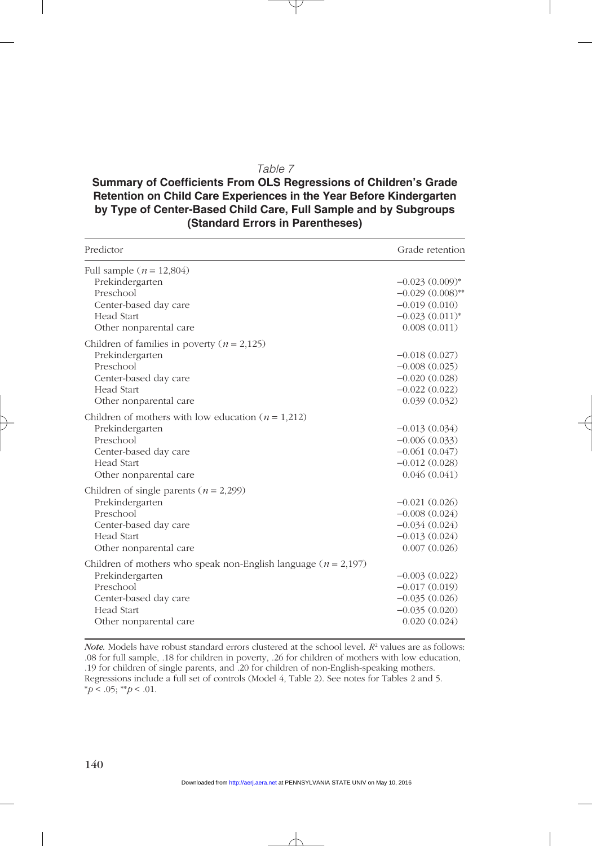### *Table 7*

### **Summary of Coefficients From OLS Regressions of Children's Grade Retention on Child Care Experiences in the Year Before Kindergarten by Type of Center-Based Child Care, Full Sample and by Subgroups (Standard Errors in Parentheses)**

| Predictor                                                          | Grade retention    |
|--------------------------------------------------------------------|--------------------|
| Full sample ( $n = 12,804$ )                                       |                    |
| Prekindergarten                                                    | $-0.023(0.009)$ *  |
| Preschool                                                          | $-0.029(0.008)$ ** |
| Center-based day care                                              | $-0.019(0.010)$    |
| Head Start                                                         | $-0.023(0.011)$ *  |
| Other nonparental care                                             | 0.008(0.011)       |
| Children of families in poverty ( $n = 2,125$ )                    |                    |
| Prekindergarten                                                    | $-0.018(0.027)$    |
| Preschool                                                          | $-0.008(0.025)$    |
| Center-based day care                                              | $-0.020(0.028)$    |
| Head Start                                                         | $-0.022(0.022)$    |
| Other nonparental care                                             | 0.039(0.032)       |
| Children of mothers with low education $(n = 1,212)$               |                    |
| Prekindergarten                                                    | $-0.013(0.034)$    |
| Preschool                                                          | $-0.006(0.033)$    |
| Center-based day care                                              | $-0.061(0.047)$    |
| Head Start                                                         | $-0.012(0.028)$    |
| Other nonparental care                                             | 0.046(0.041)       |
| Children of single parents ( $n = 2,299$ )                         |                    |
| Prekindergarten                                                    | $-0.021(0.026)$    |
| Preschool                                                          | $-0.008(0.024)$    |
| Center-based day care                                              | $-0.034(0.024)$    |
| Head Start                                                         | $-0.013(0.024)$    |
| Other nonparental care                                             | 0.007(0.026)       |
| Children of mothers who speak non-English language ( $n = 2,197$ ) |                    |
| Prekindergarten                                                    | $-0.003(0.022)$    |
| Preschool                                                          | $-0.017(0.019)$    |
| Center-based day care                                              | $-0.035(0.026)$    |
| Head Start                                                         | $-0.035(0.020)$    |
| Other nonparental care                                             | 0.020(0.024)       |

*Note.* Models have robust standard errors clustered at the school level.  $R<sup>2</sup>$  values are as follows: .08 for full sample, .18 for children in poverty, .26 for children of mothers with low education, .19 for children of single parents, and .20 for children of non-English-speaking mothers. Regressions include a full set of controls (Model 4, Table 2). See notes for Tables 2 and 5. \**p* < .05; \*\**p* < .01.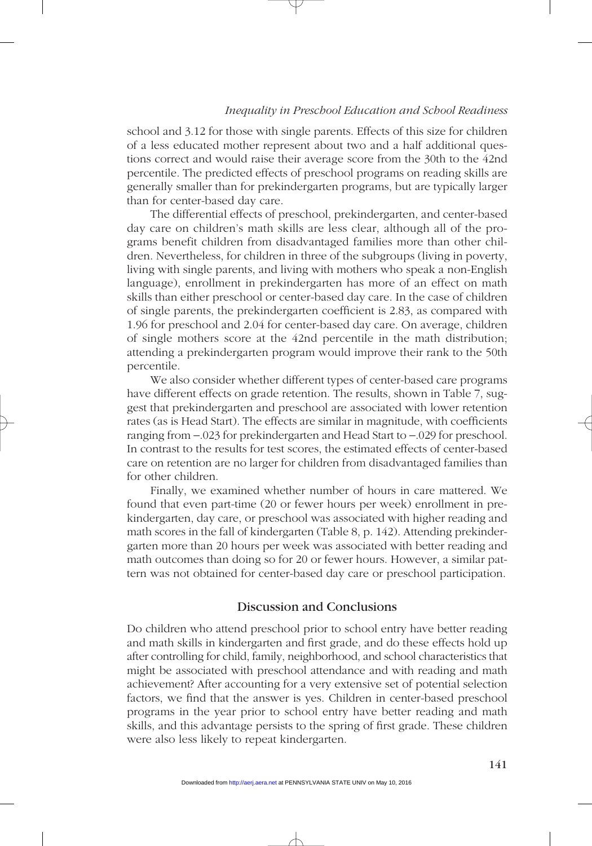school and 3.12 for those with single parents. Effects of this size for children of a less educated mother represent about two and a half additional questions correct and would raise their average score from the 30th to the 42nd percentile. The predicted effects of preschool programs on reading skills are generally smaller than for prekindergarten programs, but are typically larger than for center-based day care.

The differential effects of preschool, prekindergarten, and center-based day care on children's math skills are less clear, although all of the programs benefit children from disadvantaged families more than other children. Nevertheless, for children in three of the subgroups (living in poverty, living with single parents, and living with mothers who speak a non-English language), enrollment in prekindergarten has more of an effect on math skills than either preschool or center-based day care. In the case of children of single parents, the prekindergarten coefficient is 2.83, as compared with 1.96 for preschool and 2.04 for center-based day care. On average, children of single mothers score at the 42nd percentile in the math distribution; attending a prekindergarten program would improve their rank to the 50th percentile.

We also consider whether different types of center-based care programs have different effects on grade retention. The results, shown in Table 7, suggest that prekindergarten and preschool are associated with lower retention rates (as is Head Start). The effects are similar in magnitude, with coefficients ranging from −.023 for prekindergarten and Head Start to −.029 for preschool. In contrast to the results for test scores, the estimated effects of center-based care on retention are no larger for children from disadvantaged families than for other children.

Finally, we examined whether number of hours in care mattered. We found that even part-time (20 or fewer hours per week) enrollment in prekindergarten, day care, or preschool was associated with higher reading and math scores in the fall of kindergarten (Table 8, p. 142). Attending prekindergarten more than 20 hours per week was associated with better reading and math outcomes than doing so for 20 or fewer hours. However, a similar pattern was not obtained for center-based day care or preschool participation.

### Discussion and Conclusions

Do children who attend preschool prior to school entry have better reading and math skills in kindergarten and first grade, and do these effects hold up after controlling for child, family, neighborhood, and school characteristics that might be associated with preschool attendance and with reading and math achievement? After accounting for a very extensive set of potential selection factors, we find that the answer is yes. Children in center-based preschool programs in the year prior to school entry have better reading and math skills, and this advantage persists to the spring of first grade. These children were also less likely to repeat kindergarten.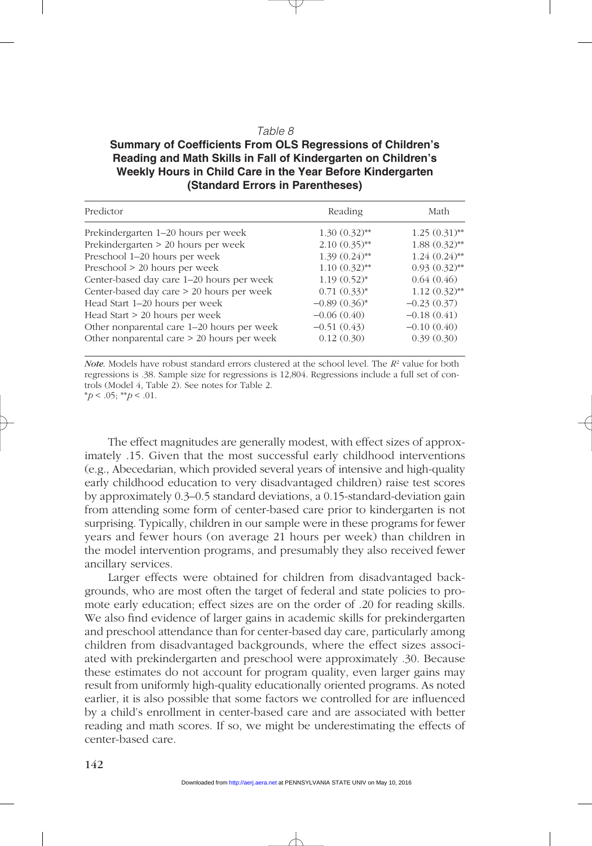#### *Table 8*

### **Summary of Coefficients From OLS Regressions of Children's Reading and Math Skills in Fall of Kindergarten on Children's Weekly Hours in Child Care in the Year Before Kindergarten (Standard Errors in Parentheses)**

| Predictor                                  | Reading         | Math            |
|--------------------------------------------|-----------------|-----------------|
| Prekindergarten 1–20 hours per week        | $1.30(0.32)$ ** | $1.25(0.31)$ ** |
| Prekindergarten > 20 hours per week        | $2.10(0.35)$ ** | $1.88(0.32)$ ** |
| Preschool 1-20 hours per week              | $1.39(0.24)$ ** | $1.24(0.24)$ ** |
| Preschool $> 20$ hours per week            | $1.10(0.32)$ ** | $0.93(0.32)$ ** |
| Center-based day care 1–20 hours per week  | $1.19(0.52)$ *  | 0.64(0.46)      |
| Center-based day care > 20 hours per week  | $0.71(0.33)*$   | $1.12(0.32)$ ** |
| Head Start 1-20 hours per week             | $-0.89(0.36)$ * | $-0.23(0.37)$   |
| Head Start $> 20$ hours per week           | $-0.06(0.40)$   | $-0.18(0.41)$   |
| Other nonparental care 1–20 hours per week | $-0.51(0.43)$   | $-0.10(0.40)$   |
| Other nonparental care > 20 hours per week | 0.12(0.30)      | 0.39(0.30)      |

*Note.* Models have robust standard errors clustered at the school level. The *R*<sup>2</sup> value for both regressions is .38. Sample size for regressions is 12,804. Regressions include a full set of controls (Model 4, Table 2). See notes for Table 2.  $*_{\mathcal{D}}$  < .05;  $*_{\mathcal{D}}$  < .01.

The effect magnitudes are generally modest, with effect sizes of approximately .15. Given that the most successful early childhood interventions (e.g., Abecedarian, which provided several years of intensive and high-quality early childhood education to very disadvantaged children) raise test scores by approximately 0.3–0.5 standard deviations, a 0.15-standard-deviation gain from attending some form of center-based care prior to kindergarten is not surprising. Typically, children in our sample were in these programs for fewer years and fewer hours (on average 21 hours per week) than children in the model intervention programs, and presumably they also received fewer ancillary services.

Larger effects were obtained for children from disadvantaged backgrounds, who are most often the target of federal and state policies to promote early education; effect sizes are on the order of .20 for reading skills. We also find evidence of larger gains in academic skills for prekindergarten and preschool attendance than for center-based day care, particularly among children from disadvantaged backgrounds, where the effect sizes associated with prekindergarten and preschool were approximately .30. Because these estimates do not account for program quality, even larger gains may result from uniformly high-quality educationally oriented programs. As noted earlier, it is also possible that some factors we controlled for are influenced by a child's enrollment in center-based care and are associated with better reading and math scores. If so, we might be underestimating the effects of center-based care.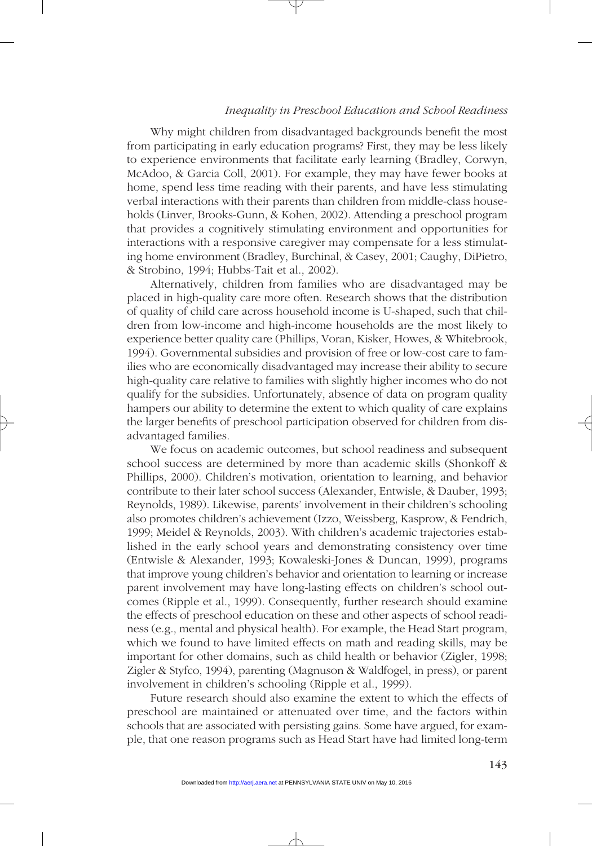Why might children from disadvantaged backgrounds benefit the most from participating in early education programs? First, they may be less likely to experience environments that facilitate early learning (Bradley, Corwyn, McAdoo, & Garcia Coll, 2001). For example, they may have fewer books at home, spend less time reading with their parents, and have less stimulating verbal interactions with their parents than children from middle-class households (Linver, Brooks-Gunn, & Kohen, 2002). Attending a preschool program that provides a cognitively stimulating environment and opportunities for interactions with a responsive caregiver may compensate for a less stimulating home environment (Bradley, Burchinal, & Casey, 2001; Caughy, DiPietro, & Strobino, 1994; Hubbs-Tait et al., 2002).

Alternatively, children from families who are disadvantaged may be placed in high-quality care more often. Research shows that the distribution of quality of child care across household income is U-shaped, such that children from low-income and high-income households are the most likely to experience better quality care (Phillips, Voran, Kisker, Howes, & Whitebrook, 1994). Governmental subsidies and provision of free or low-cost care to families who are economically disadvantaged may increase their ability to secure high-quality care relative to families with slightly higher incomes who do not qualify for the subsidies. Unfortunately, absence of data on program quality hampers our ability to determine the extent to which quality of care explains the larger benefits of preschool participation observed for children from disadvantaged families.

We focus on academic outcomes, but school readiness and subsequent school success are determined by more than academic skills (Shonkoff & Phillips, 2000). Children's motivation, orientation to learning, and behavior contribute to their later school success (Alexander, Entwisle, & Dauber, 1993; Reynolds, 1989). Likewise, parents' involvement in their children's schooling also promotes children's achievement (Izzo, Weissberg, Kasprow, & Fendrich, 1999; Meidel & Reynolds, 2003). With children's academic trajectories established in the early school years and demonstrating consistency over time (Entwisle & Alexander, 1993; Kowaleski-Jones & Duncan, 1999), programs that improve young children's behavior and orientation to learning or increase parent involvement may have long-lasting effects on children's school outcomes (Ripple et al., 1999). Consequently, further research should examine the effects of preschool education on these and other aspects of school readiness (e.g., mental and physical health). For example, the Head Start program, which we found to have limited effects on math and reading skills, may be important for other domains, such as child health or behavior (Zigler, 1998; Zigler & Styfco, 1994), parenting (Magnuson & Waldfogel, in press), or parent involvement in children's schooling (Ripple et al., 1999).

Future research should also examine the extent to which the effects of preschool are maintained or attenuated over time, and the factors within schools that are associated with persisting gains. Some have argued, for example, that one reason programs such as Head Start have had limited long-term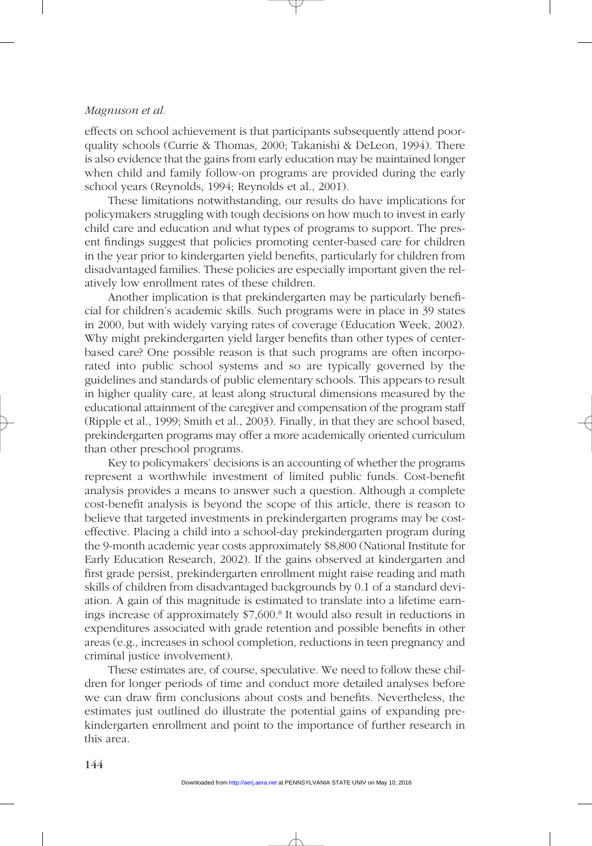effects on school achievement is that participants subsequently attend poorquality schools (Currie & Thomas, 2000; Takanishi & DeLeon, 1994). There is also evidence that the gains from early education may be maintained longer when child and family follow-on programs are provided during the early school years (Reynolds, 1994; Reynolds et al., 2001).

These limitations notwithstanding, our results do have implications for policymakers struggling with tough decisions on how much to invest in early child care and education and what types of programs to support. The present findings suggest that policies promoting center-based care for children in the year prior to kindergarten yield benefits, particularly for children from disadvantaged families. These policies are especially important given the relatively low enrollment rates of these children.

Another implication is that prekindergarten may be particularly beneficial for children's academic skills. Such programs were in place in 39 states in 2000, but with widely varying rates of coverage (Education Week, 2002). Why might prekindergarten yield larger benefits than other types of centerbased care? One possible reason is that such programs are often incorporated into public school systems and so are typically governed by the guidelines and standards of public elementary schools. This appears to result in higher quality care, at least along structural dimensions measured by the educational attainment of the caregiver and compensation of the program staff (Ripple et al., 1999; Smith et al., 2003). Finally, in that they are school based, prekindergarten programs may offer a more academically oriented curriculum than other preschool programs.

Key to policymakers' decisions is an accounting of whether the programs represent a worthwhile investment of limited public funds. Cost-benefit analysis provides a means to answer such a question. Although a complete cost-benefit analysis is beyond the scope of this article, there is reason to believe that targeted investments in prekindergarten programs may be costeffective. Placing a child into a school-day prekindergarten program during the 9-month academic year costs approximately \$8,800 (National Institute for Early Education Research, 2002). If the gains observed at kindergarten and first grade persist, prekindergarten enrollment might raise reading and math skills of children from disadvantaged backgrounds by 0.1 of a standard deviation. A gain of this magnitude is estimated to translate into a lifetime earnings increase of approximately \$7,600.8 It would also result in reductions in expenditures associated with grade retention and possible benefits in other areas (e.g., increases in school completion, reductions in teen pregnancy and criminal justice involvement).

These estimates are, of course, speculative. We need to follow these children for longer periods of time and conduct more detailed analyses before we can draw firm conclusions about costs and benefits. Nevertheless, the estimates just outlined do illustrate the potential gains of expanding prekindergarten enrollment and point to the importance of further research in this area.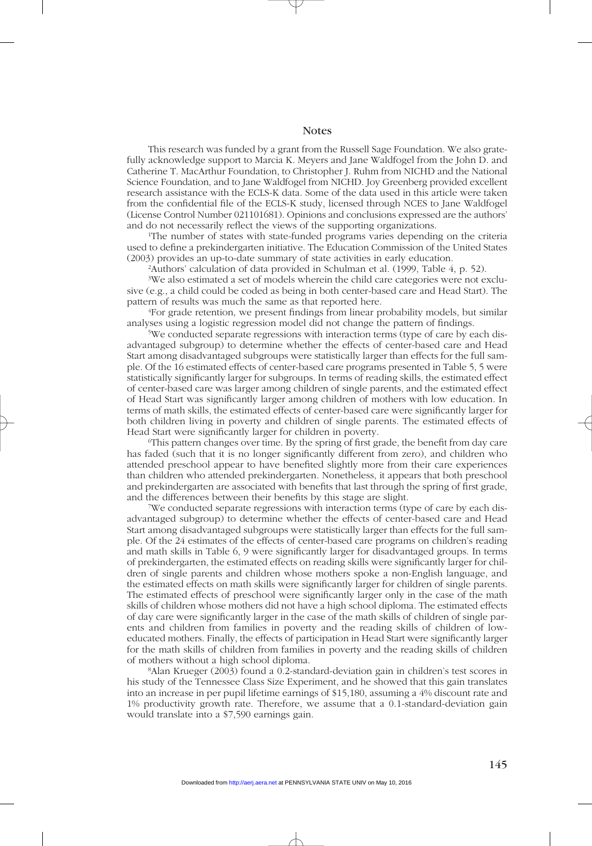#### **Notes**

This research was funded by a grant from the Russell Sage Foundation. We also gratefully acknowledge support to Marcia K. Meyers and Jane Waldfogel from the John D. and Catherine T. MacArthur Foundation, to Christopher J. Ruhm from NICHD and the National Science Foundation, and to Jane Waldfogel from NICHD. Joy Greenberg provided excellent research assistance with the ECLS-K data. Some of the data used in this article were taken from the confidential file of the ECLS-K study, licensed through NCES to Jane Waldfogel (License Control Number 021101681). Opinions and conclusions expressed are the authors' and do not necessarily reflect the views of the supporting organizations.

<sup>1</sup>The number of states with state-funded programs varies depending on the criteria used to define a prekindergarten initiative. The Education Commission of the United States (2003) provides an up-to-date summary of state activities in early education.

2 Authors' calculation of data provided in Schulman et al. (1999, Table 4, p. 52).

3We also estimated a set of models wherein the child care categories were not exclusive (e.g., a child could be coded as being in both center-based care and Head Start). The pattern of results was much the same as that reported here.

4 For grade retention, we present findings from linear probability models, but similar analyses using a logistic regression model did not change the pattern of findings.

5 We conducted separate regressions with interaction terms (type of care by each disadvantaged subgroup) to determine whether the effects of center-based care and Head Start among disadvantaged subgroups were statistically larger than effects for the full sample. Of the 16 estimated effects of center-based care programs presented in Table 5, 5 were statistically significantly larger for subgroups. In terms of reading skills, the estimated effect of center-based care was larger among children of single parents, and the estimated effect of Head Start was significantly larger among children of mothers with low education. In terms of math skills, the estimated effects of center-based care were significantly larger for both children living in poverty and children of single parents. The estimated effects of Head Start were significantly larger for children in poverty.

 $\mathrm{^6This}$  pattern changes over time. By the spring of first grade, the benefit from day care has faded (such that it is no longer significantly different from zero), and children who attended preschool appear to have benefited slightly more from their care experiences than children who attended prekindergarten. Nonetheless, it appears that both preschool and prekindergarten are associated with benefits that last through the spring of first grade, and the differences between their benefits by this stage are slight.

7 We conducted separate regressions with interaction terms (type of care by each disadvantaged subgroup) to determine whether the effects of center-based care and Head Start among disadvantaged subgroups were statistically larger than effects for the full sample. Of the 24 estimates of the effects of center-based care programs on children's reading and math skills in Table 6, 9 were significantly larger for disadvantaged groups. In terms of prekindergarten, the estimated effects on reading skills were significantly larger for children of single parents and children whose mothers spoke a non-English language, and the estimated effects on math skills were significantly larger for children of single parents. The estimated effects of preschool were significantly larger only in the case of the math skills of children whose mothers did not have a high school diploma. The estimated effects of day care were significantly larger in the case of the math skills of children of single parents and children from families in poverty and the reading skills of children of loweducated mothers. Finally, the effects of participation in Head Start were significantly larger for the math skills of children from families in poverty and the reading skills of children of mothers without a high school diploma.

8 Alan Krueger (2003) found a 0.2-standard-deviation gain in children's test scores in his study of the Tennessee Class Size Experiment, and he showed that this gain translates into an increase in per pupil lifetime earnings of \$15,180, assuming a 4% discount rate and 1% productivity growth rate. Therefore, we assume that a 0.1-standard-deviation gain would translate into a \$7,590 earnings gain.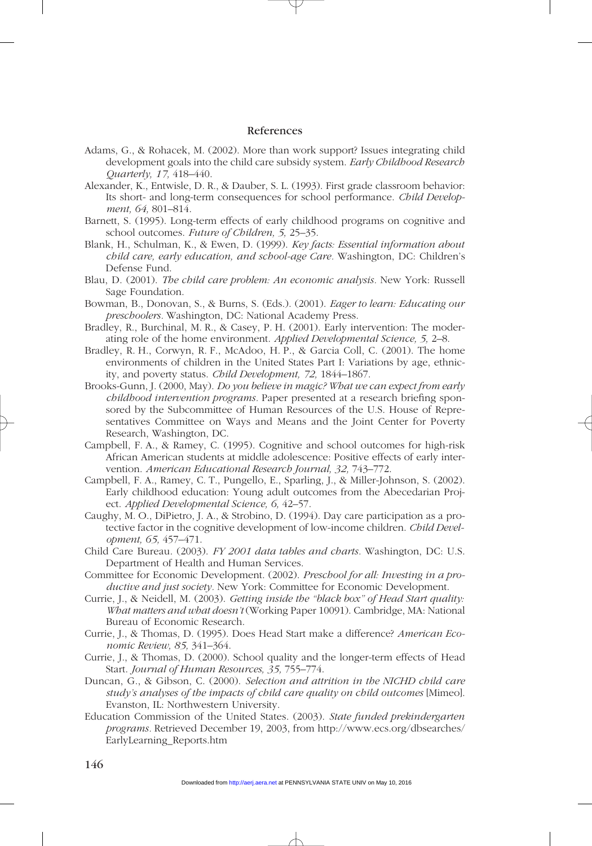#### References

- Adams, G., & Rohacek, M. (2002). More than work support? Issues integrating child development goals into the child care subsidy system. *Early Childhood Research Quarterly, 17,* 418–440.
- Alexander, K., Entwisle, D. R., & Dauber, S. L. (1993). First grade classroom behavior: Its short- and long-term consequences for school performance. *Child Development, 64,* 801–814.
- Barnett, S. (1995). Long-term effects of early childhood programs on cognitive and school outcomes. *Future of Children, 5,* 25–35.
- Blank, H., Schulman, K., & Ewen, D. (1999). *Key facts: Essential information about child care, early education, and school-age Care.* Washington, DC: Children's Defense Fund.
- Blau, D. (2001). *The child care problem: An economic analysis.* New York: Russell Sage Foundation.
- Bowman, B., Donovan, S., & Burns, S. (Eds.). (2001). *Eager to learn: Educating our preschoolers.* Washington, DC: National Academy Press.
- Bradley, R., Burchinal, M. R., & Casey, P. H. (2001). Early intervention: The moderating role of the home environment. *Applied Developmental Science, 5,* 2–8.
- Bradley, R. H., Corwyn, R. F., McAdoo, H. P., & Garcia Coll, C. (2001). The home environments of children in the United States Part I: Variations by age, ethnicity, and poverty status. *Child Development, 72,* 1844–1867.
- Brooks-Gunn, J. (2000, May). *Do you believe in magic? What we can expect from early childhood intervention programs.* Paper presented at a research briefing sponsored by the Subcommittee of Human Resources of the U.S. House of Representatives Committee on Ways and Means and the Joint Center for Poverty Research, Washington, DC.
- Campbell, F. A., & Ramey, C. (1995). Cognitive and school outcomes for high-risk African American students at middle adolescence: Positive effects of early intervention. *American Educational Research Journal, 32,* 743–772.
- Campbell, F. A., Ramey, C. T., Pungello, E., Sparling, J., & Miller-Johnson, S. (2002). Early childhood education: Young adult outcomes from the Abecedarian Project. *Applied Developmental Science, 6,* 42–57.
- Caughy, M. O., DiPietro, J. A., & Strobino, D. (1994). Day care participation as a protective factor in the cognitive development of low-income children. *Child Development, 65,* 457–471.
- Child Care Bureau. (2003). *FY 2001 data tables and charts.* Washington, DC: U.S. Department of Health and Human Services.
- Committee for Economic Development. (2002). *Preschool for all: Investing in a productive and just society.* New York: Committee for Economic Development.
- Currie, J., & Neidell, M. (2003). *Getting inside the "black box" of Head Start quality: What matters and what doesn't* (Working Paper 10091). Cambridge, MA: National Bureau of Economic Research.
- Currie, J., & Thomas, D. (1995). Does Head Start make a difference? *American Economic Review, 85,* 341–364.
- Currie, J., & Thomas, D. (2000). School quality and the longer-term effects of Head Start. *Journal of Human Resources, 35,* 755–774.
- Duncan, G., & Gibson, C. (2000). *Selection and attrition in the NICHD child care study's analyses of the impacts of child care quality on child outcomes* [Mimeo]. Evanston, IL: Northwestern University.
- Education Commission of the United States. (2003). *State funded prekindergarten programs.* Retrieved December 19, 2003, from http://www.ecs.org/dbsearches/ EarlyLearning\_Reports.htm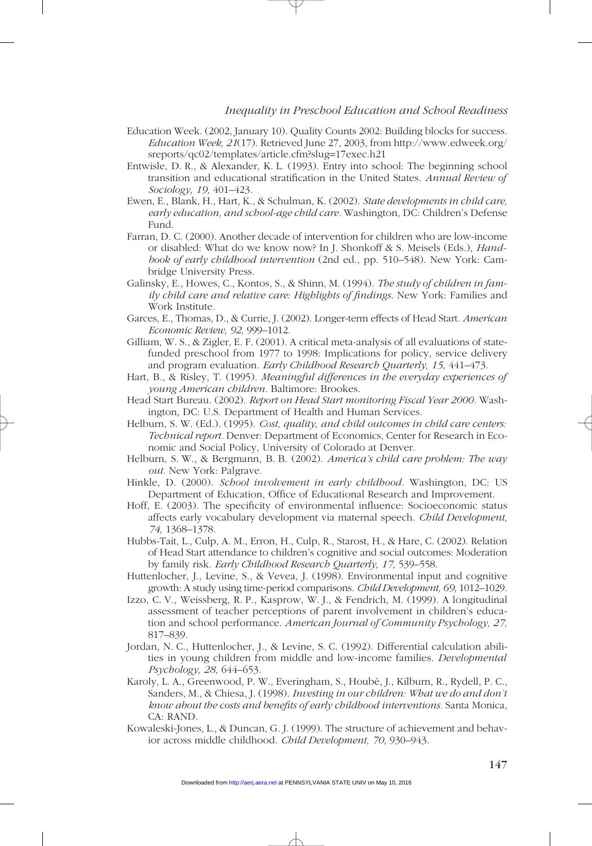- Education Week. (2002, January 10). Quality Counts 2002: Building blocks for success. *Education Week, 21*(17). Retrieved June 27, 2003, from http://www.edweek.org/ sreports/qc02/templates/article.cfm?slug=17exec.h21
- Entwisle, D. R., & Alexander, K. L. (1993). Entry into school: The beginning school transition and educational stratification in the United States. *Annual Review of Sociology, 19,* 401–423.
- Ewen, E., Blank, H., Hart, K., & Schulman, K. (2002). *State developments in child care, early education, and school-age child care.* Washington, DC: Children's Defense Fund.
- Farran, D. C. (2000). Another decade of intervention for children who are low-income or disabled: What do we know now? In J. Shonkoff & S. Meisels (Eds.), *Handbook of early childhood intervention* (2nd ed., pp. 510–548). New York: Cambridge University Press.
- Galinsky, E., Howes, C., Kontos, S., & Shinn, M. (1994). *The study of children in family child care and relative care: Highlights of findings.* New York: Families and Work Institute.
- Garces, E., Thomas, D., & Currie, J. (2002). Longer-term effects of Head Start. *American Economic Review, 92,* 999–1012.
- Gilliam, W. S., & Zigler, E. F. (2001). A critical meta-analysis of all evaluations of statefunded preschool from 1977 to 1998: Implications for policy, service delivery and program evaluation. *Early Childhood Research Quarterly, 15,* 441–473.
- Hart, B., & Risley, T. (1995). *Meaningful differences in the everyday experiences of young American children.* Baltimore: Brookes.
- Head Start Bureau. (2002). *Report on Head Start monitoring Fiscal Year 2000.* Washington, DC: U.S. Department of Health and Human Services.
- Helburn, S. W. (Ed.). (1995). *Cost, quality, and child outcomes in child care centers: Technical report.* Denver: Department of Economics, Center for Research in Economic and Social Policy, University of Colorado at Denver.
- Helburn, S. W., & Bergmann, B. B. (2002). *America's child care problem: The way out.* New York: Palgrave.
- Hinkle, D. (2000). *School involvement in early childhood.* Washington, DC: US Department of Education, Office of Educational Research and Improvement.
- Hoff, E. (2003). The specificity of environmental influence: Socioeconomic status affects early vocabulary development via maternal speech. *Child Development, 74,* 1368–1378.
- Hubbs-Tait, L., Culp, A. M., Erron, H., Culp, R., Starost, H., & Hare, C. (2002). Relation of Head Start attendance to children's cognitive and social outcomes: Moderation by family risk. *Early Childhood Research Quarterly, 17,* 539–558.
- Huttenlocher, J., Levine, S., & Vevea, J. (1998). Environmental input and cognitive growth: A study using time-period comparisons. *Child Development, 69,* 1012–1029.
- Izzo, C. V., Weissberg, R. P., Kasprow, W. J., & Fendrich, M. (1999). A longitudinal assessment of teacher perceptions of parent involvement in children's education and school performance. *American Journal of Community Psychology, 27,* 817–839.
- Jordan, N. C., Huttenlocher, J., & Levine, S. C. (1992). Differential calculation abilities in young children from middle and low-income families. *Developmental Psychology, 28,* 644–653.
- Karoly, L. A., Greenwood, P. W., Everingham, S., Houbé, J., Kilburn, R., Rydell, P. C., Sanders, M., & Chiesa, J. (1998). *Investing in our children: What we do and don't know about the costs and benefits of early childhood interventions.* Santa Monica, CA: RAND.
- Kowaleski-Jones, L., & Duncan, G. J. (1999). The structure of achievement and behavior across middle childhood. *Child Development, 70,* 930–943.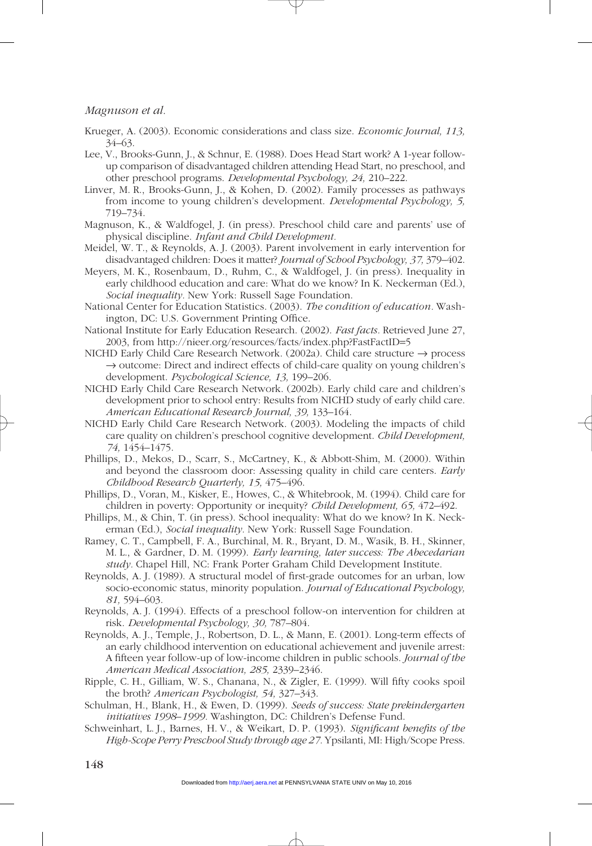- Krueger, A. (2003). Economic considerations and class size. *Economic Journal, 113,* 34–63.
- Lee, V., Brooks-Gunn, J., & Schnur, E. (1988). Does Head Start work? A 1-year followup comparison of disadvantaged children attending Head Start, no preschool, and other preschool programs. *Developmental Psychology, 24,* 210–222.
- Linver, M. R., Brooks-Gunn, J., & Kohen, D. (2002). Family processes as pathways from income to young children's development. *Developmental Psychology, 5,* 719–734.
- Magnuson, K., & Waldfogel, J. (in press). Preschool child care and parents' use of physical discipline. *Infant and Child Development.*
- Meidel, W. T., & Reynolds, A. J. (2003). Parent involvement in early intervention for disadvantaged children: Does it matter? *Journal of School Psychology, 37,* 379–402.
- Meyers, M. K., Rosenbaum, D., Ruhm, C., & Waldfogel, J. (in press). Inequality in early childhood education and care: What do we know? In K. Neckerman (Ed.), *Social inequality.* New York: Russell Sage Foundation.
- National Center for Education Statistics. (2003). *The condition of education.* Washington, DC: U.S. Government Printing Office.
- National Institute for Early Education Research. (2002). *Fast facts.* Retrieved June 27, 2003, from http://nieer.org/resources/facts/index.php?FastFactID=5
- NICHD Early Child Care Research Network. (2002a). Child care structure  $\rightarrow$  process → outcome: Direct and indirect effects of child-care quality on young children's development. *Psychological Science, 13,* 199–206.
- NICHD Early Child Care Research Network. (2002b). Early child care and children's development prior to school entry: Results from NICHD study of early child care. *American Educational Research Journal, 39,* 133–164.
- NICHD Early Child Care Research Network. (2003). Modeling the impacts of child care quality on children's preschool cognitive development. *Child Development, 74,* 1454–1475.
- Phillips, D., Mekos, D., Scarr, S., McCartney, K., & Abbott-Shim, M. (2000). Within and beyond the classroom door: Assessing quality in child care centers. *Early Childhood Research Quarterly, 15,* 475–496.
- Phillips, D., Voran, M., Kisker, E., Howes, C., & Whitebrook, M. (1994). Child care for children in poverty: Opportunity or inequity? *Child Development, 65,* 472–492.
- Phillips, M., & Chin, T. (in press). School inequality: What do we know? In K. Neckerman (Ed.), *Social inequality.* New York: Russell Sage Foundation.
- Ramey, C. T., Campbell, F. A., Burchinal, M. R., Bryant, D. M., Wasik, B. H., Skinner, M. L., & Gardner, D. M. (1999). *Early learning, later success: The Abecedarian study.* Chapel Hill, NC: Frank Porter Graham Child Development Institute.
- Reynolds, A. J. (1989). A structural model of first-grade outcomes for an urban, low socio-economic status, minority population. *Journal of Educational Psychology, 81,* 594–603.
- Reynolds, A. J. (1994). Effects of a preschool follow-on intervention for children at risk. *Developmental Psychology, 30,* 787–804.
- Reynolds, A. J., Temple, J., Robertson, D. L., & Mann, E. (2001). Long-term effects of an early childhood intervention on educational achievement and juvenile arrest: A fifteen year follow-up of low-income children in public schools. *Journal of the American Medical Association, 285,* 2339–2346.
- Ripple, C. H., Gilliam, W. S., Chanana, N., & Zigler, E. (1999). Will fifty cooks spoil the broth? *American Psychologist, 54,* 327–343.
- Schulman, H., Blank, H., & Ewen, D. (1999). *Seeds of success: State prekindergarten initiatives 1998–1999.* Washington, DC: Children's Defense Fund.
- Schweinhart, L. J., Barnes, H. V., & Weikart, D. P. (1993). *Significant benefits of the High-Scope Perry Preschool Study through age 27.* Ypsilanti, MI: High/Scope Press.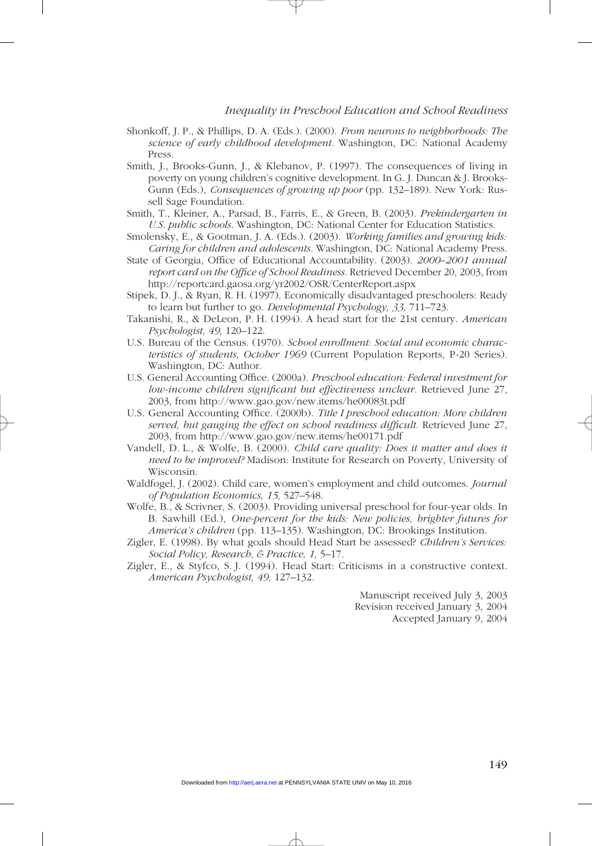- Shonkoff, J. P., & Phillips, D. A. (Eds.). (2000). *From neurons to neighborhoods: The science of early childhood development.* Washington, DC: National Academy Press.
- Smith, J., Brooks-Gunn, J., & Klebanov, P. (1997). The consequences of living in poverty on young children's cognitive development. In G. J. Duncan & J. Brooks-Gunn (Eds.), *Consequences of growing up poor* (pp. 132–189). New York: Russell Sage Foundation.
- Smith, T., Kleiner, A., Parsad, B., Farris, E., & Green, B. (2003). *Prekindergarten in U.S. public schools.* Washington, DC: National Center for Education Statistics.
- Smolensky, E., & Gootman, J. A. (Eds.). (2003). *Working families and growing kids: Caring for children and adolescents.* Washington, DC: National Academy Press.
- State of Georgia, Office of Educational Accountability. (2003). *2000–2001 annual report card on the Office of School Readiness.* Retrieved December 20, 2003, from http://reportcard.gaosa.org/yr2002/OSR/CenterReport.aspx
- Stipek, D. J., & Ryan, R. H. (1997). Economically disadvantaged preschoolers: Ready to learn but further to go. *Developmental Psychology, 33,* 711–723.
- Takanishi, R., & DeLeon, P. H. (1994). A head start for the 21st century. *American Psychologist, 49,* 120–122.
- U.S. Bureau of the Census. (1970). *School enrollment: Social and economic characteristics of students, October 1969* (Current Population Reports, P-20 Series). Washington, DC: Author.
- U.S. General Accounting Office. (2000a). *Preschool education: Federal investment for low-income children significant but effectiveness unclear.* Retrieved June 27, 2003, from http://www.gao.gov/new.items/he00083t.pdf
- U.S. General Accounting Office. (2000b). *Title I preschool education: More children served, but gauging the effect on school readiness difficult.* Retrieved June 27, 2003, from http://www.gao.gov/new.items/he00171.pdf
- Vandell, D. L., & Wolfe, B. (2000). *Child care quality: Does it matter and does it need to be improved?* Madison: Institute for Research on Poverty, University of Wisconsin.
- Waldfogel, J. (2002). Child care, women's employment and child outcomes. *Journal of Population Economics, 15,* 527–548.
- Wolfe, B., & Scrivner, S. (2003). Providing universal preschool for four-year olds. In B. Sawhill (Ed.), *One-percent for the kids: New policies, brighter futures for America's children* (pp. 113–135). Washington, DC: Brookings Institution.
- Zigler, E. (1998). By what goals should Head Start be assessed? *Children's Services: Social Policy, Research, & Practice, 1,* 5–17.
- Zigler, E., & Styfco, S. J. (1994). Head Start: Criticisms in a constructive context. *American Psychologist, 49,* 127–132.

Manuscript received July 3, 2003

Revision received January 3, 2004

Accepted January 9, 2004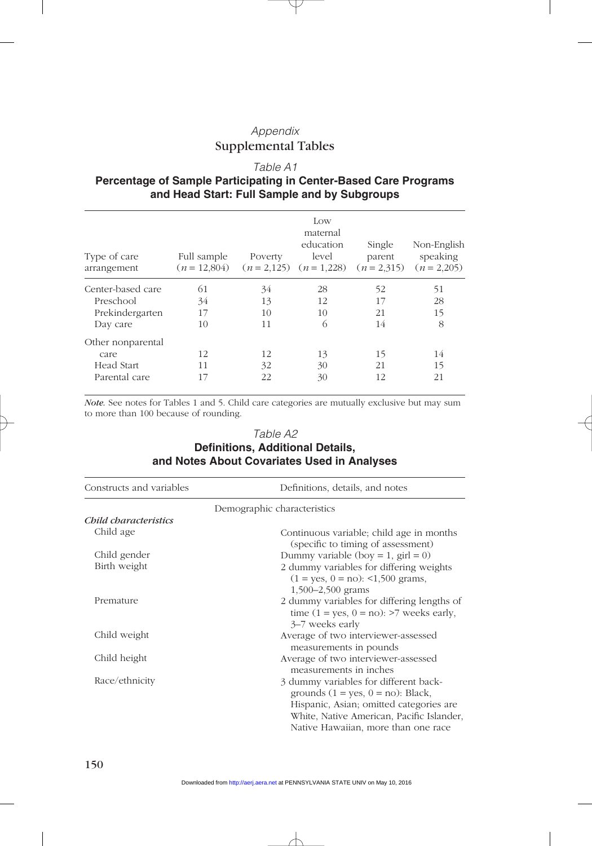# *Appendix* Supplemental Tables

### *Table A1* **Percentage of Sample Participating in Center-Based Care Programs and Head Start: Full Sample and by Subgroups**

| Type of care<br>arrangement | Full sample<br>$(n = 12,804)$ | Poverty<br>$(n=2,125)$ | Low<br>maternal<br>education<br>level<br>$(n=1,228)$ | Single<br>parent<br>$(n = 2,315)$ | Non-English<br>speaking<br>$(n = 2,205)$ |
|-----------------------------|-------------------------------|------------------------|------------------------------------------------------|-----------------------------------|------------------------------------------|
| Center-based care           | 61                            | 34                     | 28                                                   | 52                                | 51                                       |
| Preschool                   | 34                            | 13                     | 12                                                   | 17                                | 28                                       |
| Prekindergarten             | 17                            | 10                     | 10                                                   | 21                                | 15                                       |
| Day care                    | 10                            | 11                     | 6                                                    | 14                                | 8                                        |
| Other nonparental           |                               |                        |                                                      |                                   |                                          |
| care                        | 12                            | 12                     | 13                                                   | 15                                | 14                                       |
| Head Start                  | 11                            | 32                     | 30                                                   | 21                                | 15                                       |
| Parental care               | 17                            | 22                     | 30                                                   | 12                                | 21                                       |

*Note.* See notes for Tables 1 and 5. Child care categories are mutually exclusive but may sum to more than 100 because of rounding.

### *Table A2*

### **Definitions, Additional Details, and Notes About Covariates Used in Analyses**

| Constructs and variables | Definitions, details, and notes                                                                                                                                                                              |
|--------------------------|--------------------------------------------------------------------------------------------------------------------------------------------------------------------------------------------------------------|
|                          | Demographic characteristics                                                                                                                                                                                  |
| Child characteristics    |                                                                                                                                                                                                              |
| Child age                | Continuous variable; child age in months<br>(specific to timing of assessment)                                                                                                                               |
| Child gender             | Dummy variable (boy = 1, $\text{girl} = 0$ )                                                                                                                                                                 |
| Birth weight             | 2 dummy variables for differing weights<br>$(1 = yes, 0 = no): <1,500$ grams,<br>$1,500 - 2,500$ grams                                                                                                       |
| Premature                | 2 dummy variables for differing lengths of<br>time $(1 = yes, 0 = no)$ : >7 weeks early,<br>3–7 weeks early                                                                                                  |
| Child weight             | Average of two interviewer-assessed<br>measurements in pounds                                                                                                                                                |
| Child height             | Average of two interviewer-assessed<br>measurements in inches                                                                                                                                                |
| Race/ethnicity           | 3 dummy variables for different back-<br>grounds $(1 = yes, 0 = no)$ : Black,<br>Hispanic, Asian; omitted categories are<br>White, Native American, Pacific Islander,<br>Native Hawaiian, more than one race |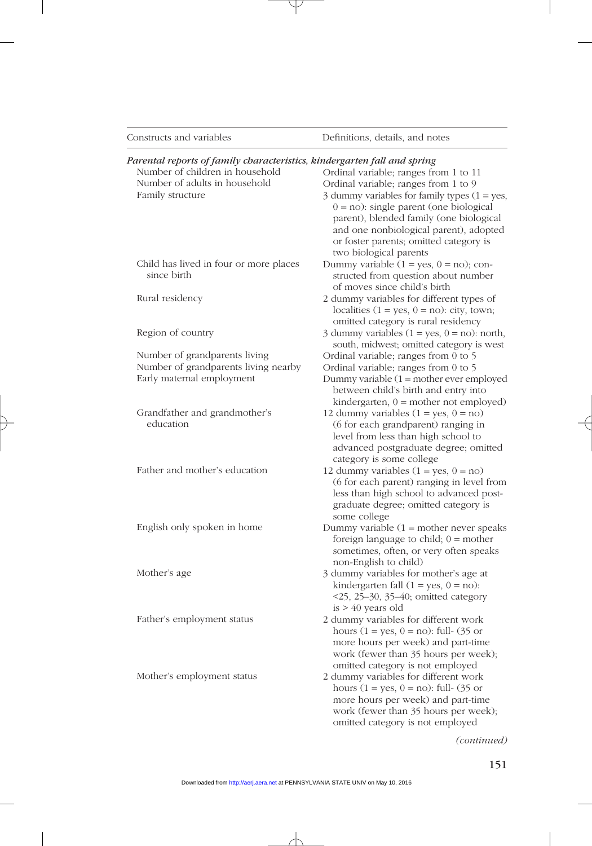| Constructs and variables                                                                                    | Definitions, details, and notes                                                                                                                                                                                                                                                                                                       |
|-------------------------------------------------------------------------------------------------------------|---------------------------------------------------------------------------------------------------------------------------------------------------------------------------------------------------------------------------------------------------------------------------------------------------------------------------------------|
| Parental reports of family characteristics, kindergarten fall and spring<br>Number of children in household |                                                                                                                                                                                                                                                                                                                                       |
| Number of adults in household<br>Family structure                                                           | Ordinal variable; ranges from 1 to 11<br>Ordinal variable; ranges from 1 to 9<br>3 dummy variables for family types $(1 = yes,$<br>$0 = no$ ): single parent (one biological<br>parent), blended family (one biological<br>and one nonbiological parent), adopted<br>or foster parents; omitted category is<br>two biological parents |
| Child has lived in four or more places<br>since birth                                                       | Dummy variable $(1 = yes, 0 = no)$ ; con-<br>structed from question about number<br>of moves since child's birth                                                                                                                                                                                                                      |
| Rural residency                                                                                             | 2 dummy variables for different types of<br>localities $(1 = yes, 0 = no)$ : city, town;<br>omitted category is rural residency                                                                                                                                                                                                       |
| Region of country                                                                                           | 3 dummy variables $(1 = yes, 0 = no)$ : north,<br>south, midwest; omitted category is west                                                                                                                                                                                                                                            |
| Number of grandparents living                                                                               | Ordinal variable; ranges from 0 to 5                                                                                                                                                                                                                                                                                                  |
| Number of grandparents living nearby                                                                        | Ordinal variable; ranges from 0 to 5                                                                                                                                                                                                                                                                                                  |
| Early maternal employment                                                                                   | Dummy variable $(1 = \text{mother ever employed})$<br>between child's birth and entry into<br>kindergarten, $0 =$ mother not employed)                                                                                                                                                                                                |
| Grandfather and grandmother's<br>education                                                                  | 12 dummy variables $(1 = yes, 0 = no)$<br>(6 for each grandparent) ranging in<br>level from less than high school to<br>advanced postgraduate degree; omitted<br>category is some college                                                                                                                                             |
| Father and mother's education                                                                               | 12 dummy variables $(1 = yes, 0 = no)$<br>(6 for each parent) ranging in level from<br>less than high school to advanced post-<br>graduate degree; omitted category is<br>some college                                                                                                                                                |
| English only spoken in home                                                                                 | Dummy variable $(1 = \text{mother never speaks})$<br>foreign language to child; $0 =$ mother<br>sometimes, often, or very often speaks<br>non-English to child)                                                                                                                                                                       |
| Mother's age                                                                                                | 3 dummy variables for mother's age at<br>kindergarten fall $(1 = yes, 0 = no)$ :<br><25, 25-30, 35-40; omitted category<br>is $> 40$ years old                                                                                                                                                                                        |
| Father's employment status                                                                                  | 2 dummy variables for different work<br>hours $(1 = yes, 0 = no)$ : full- (35 or<br>more hours per week) and part-time<br>work (fewer than 35 hours per week);<br>omitted category is not employed                                                                                                                                    |
| Mother's employment status                                                                                  | 2 dummy variables for different work<br>hours $(1 = yes, 0 = no)$ : full- (35 or<br>more hours per week) and part-time<br>work (fewer than 35 hours per week);<br>omitted category is not employed                                                                                                                                    |
|                                                                                                             | (continued)                                                                                                                                                                                                                                                                                                                           |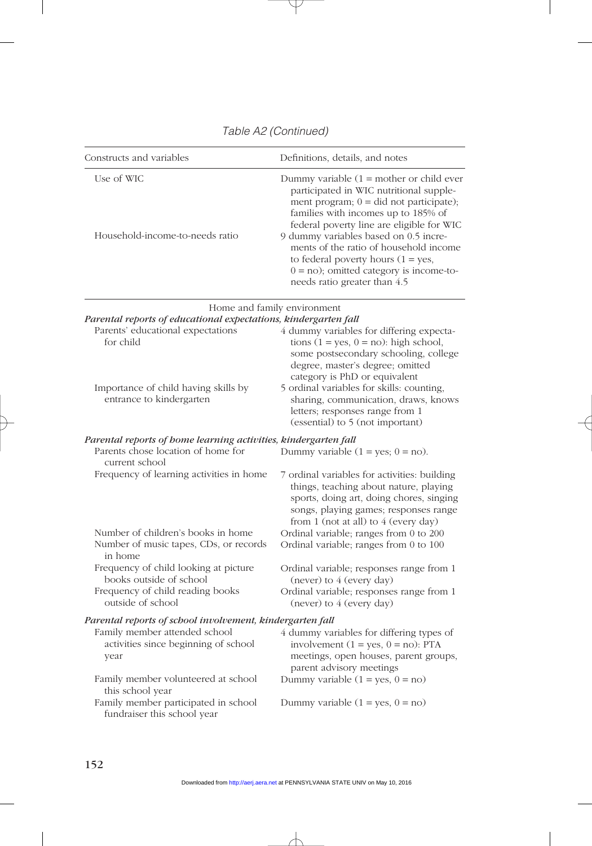| Constructs and variables                                                                                                  | Definitions, details, and notes<br>Dummy variable $(1 = \text{mother or child ever})$<br>participated in WIC nutritional supple-<br>ment program; $0 =$ did not participate);<br>families with incomes up to 185% of<br>federal poverty line are eligible for WIC<br>9 dummy variables based on 0.5 incre-<br>ments of the ratio of household income<br>to federal poverty hours $(1 = yes,$<br>$0 = no$ ; omitted category is income-to-<br>needs ratio greater than 4.5 |  |  |  |
|---------------------------------------------------------------------------------------------------------------------------|---------------------------------------------------------------------------------------------------------------------------------------------------------------------------------------------------------------------------------------------------------------------------------------------------------------------------------------------------------------------------------------------------------------------------------------------------------------------------|--|--|--|
| Use of WIC<br>Household-income-to-needs ratio                                                                             |                                                                                                                                                                                                                                                                                                                                                                                                                                                                           |  |  |  |
|                                                                                                                           | Home and family environment                                                                                                                                                                                                                                                                                                                                                                                                                                               |  |  |  |
| Parental reports of educational expectations, kindergarten fall                                                           |                                                                                                                                                                                                                                                                                                                                                                                                                                                                           |  |  |  |
| Parents' educational expectations<br>for child<br>Importance of child having skills by<br>entrance to kindergarten        | 4 dummy variables for differing expecta-<br>tions $(1 = yes, 0 = no)$ : high school,<br>some postsecondary schooling, college<br>degree, master's degree; omitted<br>category is PhD or equivalent<br>5 ordinal variables for skills: counting,<br>sharing, communication, draws, knows<br>letters; responses range from 1<br>(essential) to 5 (not important)                                                                                                            |  |  |  |
| Parental reports of home learning activities, kindergarten fall                                                           |                                                                                                                                                                                                                                                                                                                                                                                                                                                                           |  |  |  |
| Parents chose location of home for<br>current school                                                                      | Dummy variable $(1 = yes; 0 = no)$ .                                                                                                                                                                                                                                                                                                                                                                                                                                      |  |  |  |
| Frequency of learning activities in home<br>Number of children's books in home                                            | 7 ordinal variables for activities: building<br>things, teaching about nature, playing<br>sports, doing art, doing chores, singing<br>songs, playing games; responses range<br>from 1 (not at all) to 4 (every day)<br>Ordinal variable; ranges from 0 to 200                                                                                                                                                                                                             |  |  |  |
| Number of music tapes, CDs, or records<br>in home                                                                         | Ordinal variable; ranges from 0 to 100                                                                                                                                                                                                                                                                                                                                                                                                                                    |  |  |  |
| Frequency of child looking at picture<br>books outside of school<br>Frequency of child reading books<br>outside of school | Ordinal variable; responses range from 1<br>(never) to 4 (every day)<br>Ordinal variable; responses range from 1<br>(never) to 4 (every day)                                                                                                                                                                                                                                                                                                                              |  |  |  |
| Parental reports of school involvement, kindergarten fall                                                                 |                                                                                                                                                                                                                                                                                                                                                                                                                                                                           |  |  |  |
| Family member attended school<br>activities since beginning of school<br>year                                             | 4 dummy variables for differing types of<br>involvement $(1 = yes, 0 = no)$ : PTA<br>meetings, open houses, parent groups,<br>parent advisory meetings                                                                                                                                                                                                                                                                                                                    |  |  |  |
| Family member volunteered at school<br>this school year                                                                   | Dummy variable $(1 = yes, 0 = no)$                                                                                                                                                                                                                                                                                                                                                                                                                                        |  |  |  |
| Family member participated in school<br>fundraiser this school year                                                       | Dummy variable $(1 = yes, 0 = no)$                                                                                                                                                                                                                                                                                                                                                                                                                                        |  |  |  |

# *Table A2 (Continued)*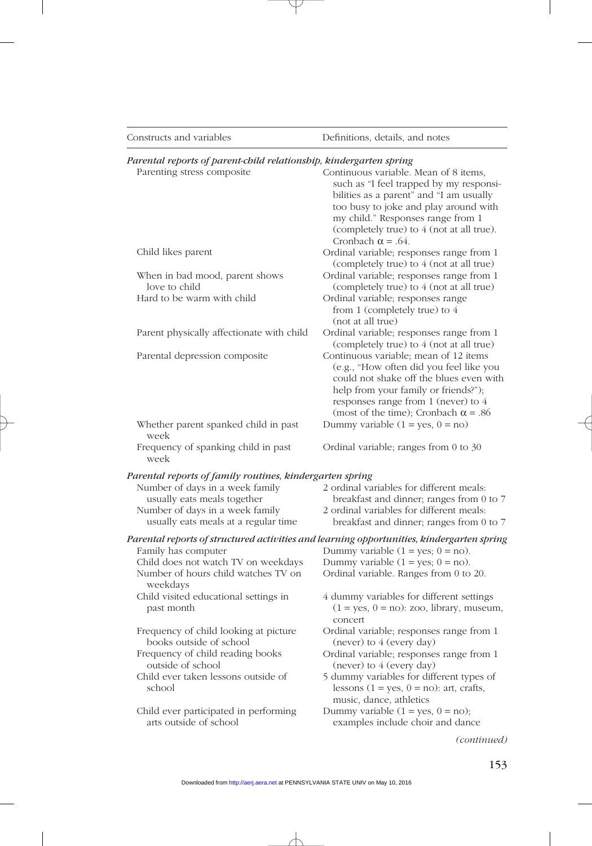| Constructs and variables                                                                         | Definitions, details, and notes                                                                                       |  |  |
|--------------------------------------------------------------------------------------------------|-----------------------------------------------------------------------------------------------------------------------|--|--|
| Parental reports of parent-child relationship, kindergarten spring<br>Parenting stress composite | Continuous variable. Mean of 8 items,<br>such as "I feel trapped by my responsi-                                      |  |  |
|                                                                                                  | bilities as a parent" and "I am usually<br>too busy to joke and play around with<br>my child." Responses range from 1 |  |  |
|                                                                                                  | (completely true) to 4 (not at all true).                                                                             |  |  |
|                                                                                                  | Cronbach $\alpha$ = .64.                                                                                              |  |  |
| Child likes parent                                                                               | Ordinal variable; responses range from 1<br>(completely true) to 4 (not at all true)                                  |  |  |
| When in bad mood, parent shows                                                                   | Ordinal variable; responses range from 1                                                                              |  |  |
| love to child                                                                                    | (completely true) to 4 (not at all true)                                                                              |  |  |
| Hard to be warm with child                                                                       | Ordinal variable; responses range<br>from 1 (completely true) to 4<br>(not at all true)                               |  |  |
| Parent physically affectionate with child                                                        | Ordinal variable; responses range from 1                                                                              |  |  |
|                                                                                                  | (completely true) to 4 (not at all true)                                                                              |  |  |
| Parental depression composite                                                                    | Continuous variable; mean of 12 items                                                                                 |  |  |
|                                                                                                  | (e.g., "How often did you feel like you                                                                               |  |  |
|                                                                                                  | could not shake off the blues even with                                                                               |  |  |
|                                                                                                  | help from your family or friends?");                                                                                  |  |  |
|                                                                                                  | responses range from 1 (never) to 4<br>(most of the time); Cronbach $\alpha$ = .86                                    |  |  |
| Whether parent spanked child in past<br>week                                                     | Dummy variable $(1 = yes, 0 = no)$                                                                                    |  |  |
| Frequency of spanking child in past<br>week                                                      | Ordinal variable; ranges from 0 to 30                                                                                 |  |  |
| Parental reports of family routines, kindergarten spring                                         |                                                                                                                       |  |  |
| Number of days in a week family                                                                  | 2 ordinal variables for different meals:                                                                              |  |  |
| usually eats meals together                                                                      | breakfast and dinner; ranges from 0 to 7                                                                              |  |  |
| Number of days in a week family                                                                  | 2 ordinal variables for different meals:                                                                              |  |  |
| usually eats meals at a regular time                                                             | breakfast and dinner; ranges from 0 to 7                                                                              |  |  |
|                                                                                                  | Parental reports of structured activities and learning opportunities, kindergarten spring                             |  |  |
| Family has computer                                                                              | Dummy variable $(1 = yes; 0 = no)$ .                                                                                  |  |  |
| Child does not watch TV on weekdays                                                              | Dummy variable $(1 = yes; 0 = no)$ .                                                                                  |  |  |
| Number of hours child watches TV on                                                              | Ordinal variable. Ranges from 0 to 20.                                                                                |  |  |
| weekdays<br>Child visited educational settings in                                                | 4 dummy variables for different settings                                                                              |  |  |
| past month                                                                                       | $(1 = yes, 0 = no)$ : zoo, library, museum,                                                                           |  |  |
|                                                                                                  | concert                                                                                                               |  |  |
| Frequency of child looking at picture                                                            | Ordinal variable; responses range from 1                                                                              |  |  |
| books outside of school                                                                          | (never) to 4 (every day)                                                                                              |  |  |
| Frequency of child reading books                                                                 | Ordinal variable; responses range from 1                                                                              |  |  |
| outside of school                                                                                | (never) to 4 (every day)                                                                                              |  |  |
| Child ever taken lessons outside of<br>school                                                    | 5 dummy variables for different types of<br>lessons $(1 = yes, 0 = no)$ : art, crafts,                                |  |  |
|                                                                                                  | music, dance, athletics                                                                                               |  |  |
| Child ever participated in performing<br>arts outside of school                                  | Dummy variable $(1 = yes, 0 = no);$<br>examples include choir and dance                                               |  |  |
|                                                                                                  |                                                                                                                       |  |  |
|                                                                                                  | (continued)                                                                                                           |  |  |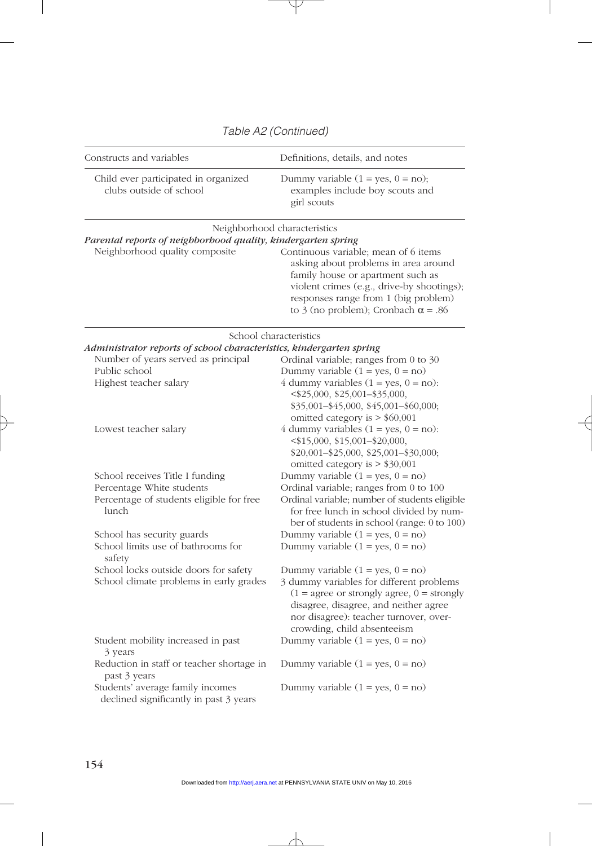| Constructs and variables                                                         | Definitions, details, and notes<br>Dummy variable $(1 = yes, 0 = no);$<br>examples include boy scouts and<br>girl scouts                                                                                                                                        |  |  |  |
|----------------------------------------------------------------------------------|-----------------------------------------------------------------------------------------------------------------------------------------------------------------------------------------------------------------------------------------------------------------|--|--|--|
| Child ever participated in organized<br>clubs outside of school                  |                                                                                                                                                                                                                                                                 |  |  |  |
|                                                                                  | Neighborhood characteristics                                                                                                                                                                                                                                    |  |  |  |
| Parental reports of neighborbood quality, kindergarten spring                    |                                                                                                                                                                                                                                                                 |  |  |  |
| Neighborhood quality composite                                                   | Continuous variable; mean of 6 items<br>asking about problems in area around<br>family house or apartment such as<br>violent crimes (e.g., drive-by shootings);<br>responses range from 1 (big problem)<br>to 3 (no problem); Cronbach $\alpha$ = .86           |  |  |  |
|                                                                                  | School characteristics                                                                                                                                                                                                                                          |  |  |  |
| Administrator reports of school characteristics, kindergarten spring             |                                                                                                                                                                                                                                                                 |  |  |  |
| Number of years served as principal                                              | Ordinal variable; ranges from 0 to 30                                                                                                                                                                                                                           |  |  |  |
| Public school                                                                    | Dummy variable $(1 = yes, 0 = no)$                                                                                                                                                                                                                              |  |  |  |
| Highest teacher salary                                                           | 4 dummy variables $(1 = yes, 0 = no)$ :<br>$<$ \$25,000, \$25,001-\$35,000,<br>\$35,001-\$45,000, \$45,001-\$60,000;<br>omitted category is > \$60,001                                                                                                          |  |  |  |
| Lowest teacher salary                                                            | 4 dummy variables $(1 = yes, 0 = no)$ :<br>$5,000, 15,001 - 20,000,$<br>\$20,001-\$25,000, \$25,001-\$30,000;<br>omitted category is > \$30,001                                                                                                                 |  |  |  |
| School receives Title I funding                                                  | Dummy variable $(1 = yes, 0 = no)$                                                                                                                                                                                                                              |  |  |  |
| Percentage White students                                                        | Ordinal variable; ranges from 0 to 100                                                                                                                                                                                                                          |  |  |  |
| Percentage of students eligible for free<br>lunch                                | Ordinal variable; number of students eligible<br>for free lunch in school divided by num-<br>ber of students in school (range: 0 to 100)                                                                                                                        |  |  |  |
| School has security guards                                                       | Dummy variable $(1 = yes, 0 = no)$                                                                                                                                                                                                                              |  |  |  |
| School limits use of bathrooms for<br>safety                                     | Dummy variable $(1 = yes, 0 = no)$                                                                                                                                                                                                                              |  |  |  |
| School locks outside doors for safety<br>School climate problems in early grades | Dummy variable $(1 = yes, 0 = no)$<br>3 dummy variables for different problems<br>$(1 = \text{agree or strongly agree}, 0 = \text{strongly})$<br>disagree, disagree, and neither agree<br>nor disagree): teacher turnover, over-<br>crowding, child absenteeism |  |  |  |
| Student mobility increased in past<br>3 years                                    | Dummy variable $(1 = yes, 0 = no)$                                                                                                                                                                                                                              |  |  |  |
| Reduction in staff or teacher shortage in<br>past 3 years                        | Dummy variable $(1 = yes, 0 = no)$                                                                                                                                                                                                                              |  |  |  |
| Students' average family incomes<br>declined significantly in past 3 years       | Dummy variable $(1 = yes, 0 = no)$                                                                                                                                                                                                                              |  |  |  |

# *Table A2 (Continued)*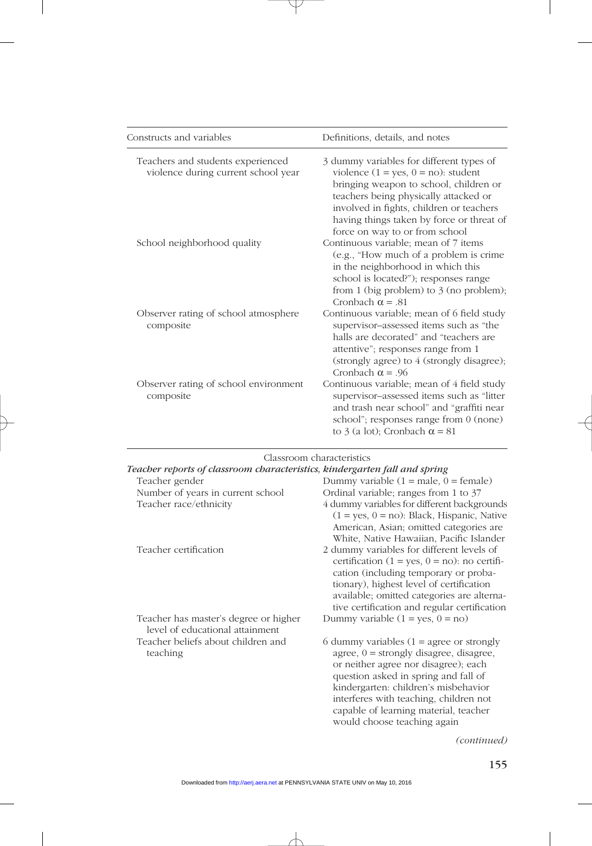| Constructs and variables                                                   | Definitions, details, and notes                                                                                                                                                                                                                                                                  |
|----------------------------------------------------------------------------|--------------------------------------------------------------------------------------------------------------------------------------------------------------------------------------------------------------------------------------------------------------------------------------------------|
| Teachers and students experienced<br>violence during current school year   | 3 dummy variables for different types of<br>violence $(1 = yes, 0 = no)$ : student<br>bringing weapon to school, children or<br>teachers being physically attacked or<br>involved in fights, children or teachers<br>having things taken by force or threat of<br>force on way to or from school |
| School neighborhood quality                                                | Continuous variable; mean of 7 items<br>(e.g., "How much of a problem is crime<br>in the neighborhood in which this<br>school is located?"); responses range<br>from 1 (big problem) to 3 (no problem);<br>Cronbach $\alpha$ = .81                                                               |
| Observer rating of school atmosphere<br>composite                          | Continuous variable; mean of 6 field study<br>supervisor-assessed items such as "the<br>halls are decorated" and "teachers are<br>attentive"; responses range from 1<br>(strongly agree) to 4 (strongly disagree);<br>Cronbach $\alpha$ = .96                                                    |
| Observer rating of school environment<br>composite                         | Continuous variable; mean of 4 field study<br>supervisor-assessed items such as "litter<br>and trash near school" and "graffiti near<br>school"; responses range from 0 (none)<br>to 3 (a lot); Cronbach $\alpha = 81$                                                                           |
|                                                                            | Classroom characteristics                                                                                                                                                                                                                                                                        |
| Teacher reports of classroom characteristics, kindergarten fall and spring |                                                                                                                                                                                                                                                                                                  |
| Teacher gender                                                             | Dummy variable $(1 = \text{male}, 0 = \text{female})$                                                                                                                                                                                                                                            |
| Number of years in current school                                          | Ordinal variable; ranges from 1 to 37                                                                                                                                                                                                                                                            |
| Teacher race/ethnicity                                                     | 4 dummy variables for different backgrounds                                                                                                                                                                                                                                                      |
|                                                                            | $(1 = yes, 0 = no)$ : Black, Hispanic, Native                                                                                                                                                                                                                                                    |
|                                                                            | American, Asian; omitted categories are                                                                                                                                                                                                                                                          |
|                                                                            | White, Native Hawaiian, Pacific Islander                                                                                                                                                                                                                                                         |
| Teacher certification                                                      | 2 dummy variables for different levels of<br>certification $(1 = yes, 0 = no)$ : no certifi-<br>cation (including temporary or proba-<br>tionary), highest level of certification<br>available; omitted categories are alterna-<br>tive certification and regular certification                  |
| Teacher has master's degree or higher                                      | Dummy variable $(1 = yes, 0 = no)$                                                                                                                                                                                                                                                               |
| level of educational attainment                                            |                                                                                                                                                                                                                                                                                                  |
| Teacher beliefs about children and                                         | 6 dummy variables $(1 = \text{agree or strongly})$                                                                                                                                                                                                                                               |
| teaching                                                                   | agree, $0 =$ strongly disagree, disagree,                                                                                                                                                                                                                                                        |
|                                                                            | or neither agree nor disagree); each                                                                                                                                                                                                                                                             |
|                                                                            | question asked in spring and fall of                                                                                                                                                                                                                                                             |
|                                                                            | kindergarten: children's misbehavior                                                                                                                                                                                                                                                             |
|                                                                            | interferes with teaching, children not<br>capable of learning material, teacher                                                                                                                                                                                                                  |

*(continued)*

would choose teaching again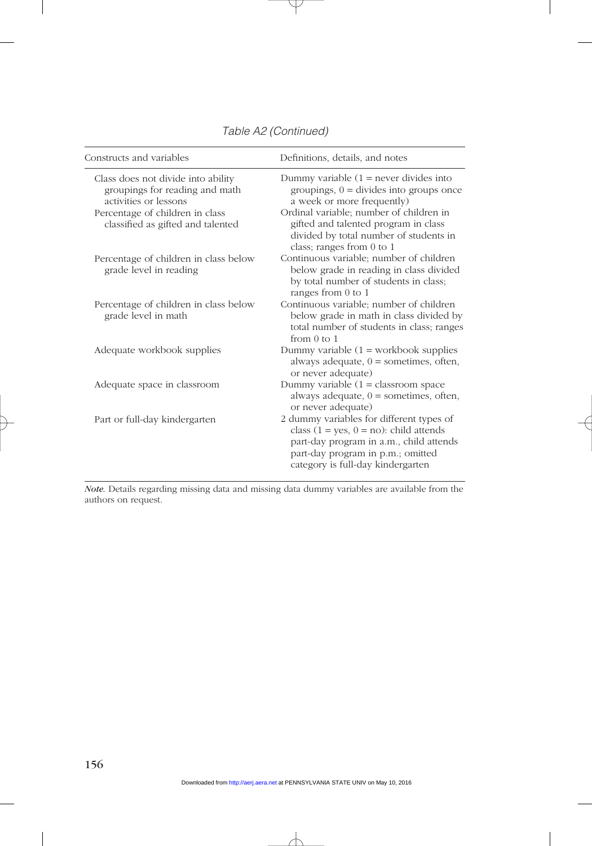| Constructs and variables                                                                      | Definitions, details, and notes                                                                                                                                                                            |  |  |  |
|-----------------------------------------------------------------------------------------------|------------------------------------------------------------------------------------------------------------------------------------------------------------------------------------------------------------|--|--|--|
| Class does not divide into ability<br>groupings for reading and math<br>activities or lessons | Dummy variable $(1 =$ never divides into<br>groupings, $0 =$ divides into groups once<br>a week or more frequently)                                                                                        |  |  |  |
| Percentage of children in class<br>classified as gifted and talented                          | Ordinal variable; number of children in<br>gifted and talented program in class<br>divided by total number of students in<br>class; ranges from $0$ to $1$                                                 |  |  |  |
| Percentage of children in class below<br>grade level in reading                               | Continuous variable; number of children<br>below grade in reading in class divided<br>by total number of students in class;<br>ranges from 0 to 1                                                          |  |  |  |
| Percentage of children in class below<br>grade level in math                                  | Continuous variable; number of children<br>below grade in math in class divided by<br>total number of students in class; ranges<br>from $0$ to $1$                                                         |  |  |  |
| Adequate workbook supplies                                                                    | Dummy variable $(1 = workbook$ supplies<br>always adequate, $0 =$ sometimes, often,<br>or never adequate)                                                                                                  |  |  |  |
| Adequate space in classroom                                                                   | Dummy variable $(1 =$ classroom space<br>always adequate, $0 =$ sometimes, often,<br>or never adequate)                                                                                                    |  |  |  |
| Part or full-day kindergarten                                                                 | 2 dummy variables for different types of<br>class $(1 = yes, 0 = no)$ : child attends<br>part-day program in a.m., child attends<br>part-day program in p.m.; omitted<br>category is full-day kindergarten |  |  |  |

# *Table A2 (Continued)*

*Note.* Details regarding missing data and missing data dummy variables are available from the authors on request.